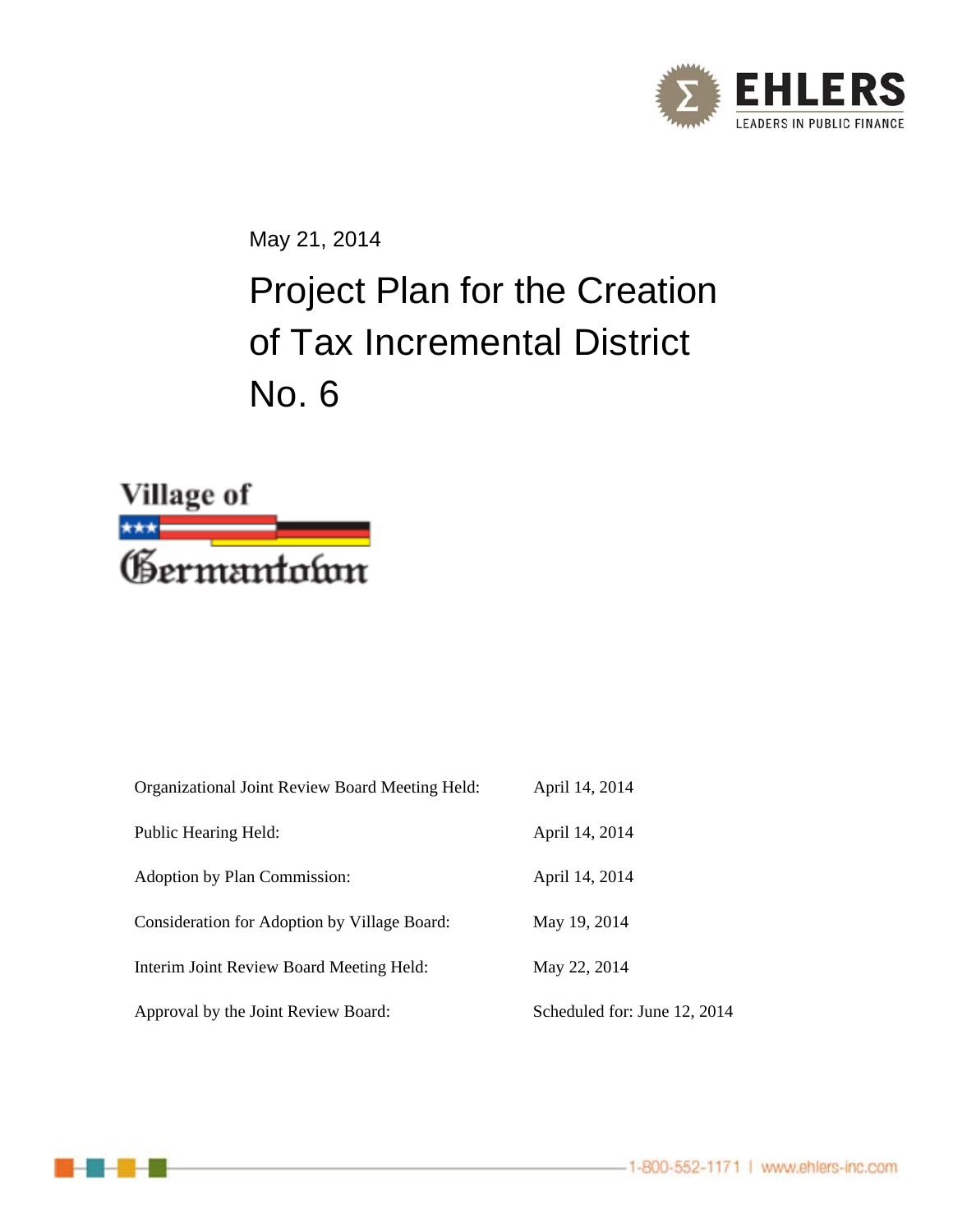

May 21, 2014

# Project Plan for the Creation of Tax Incremental District No. 6



| Organizational Joint Review Board Meeting Held: | April 14, 2014               |
|-------------------------------------------------|------------------------------|
| Public Hearing Held:                            | April 14, 2014               |
| Adoption by Plan Commission:                    | April 14, 2014               |
| Consideration for Adoption by Village Board:    | May 19, 2014                 |
| Interim Joint Review Board Meeting Held:        | May 22, 2014                 |
| Approval by the Joint Review Board:             | Scheduled for: June 12, 2014 |

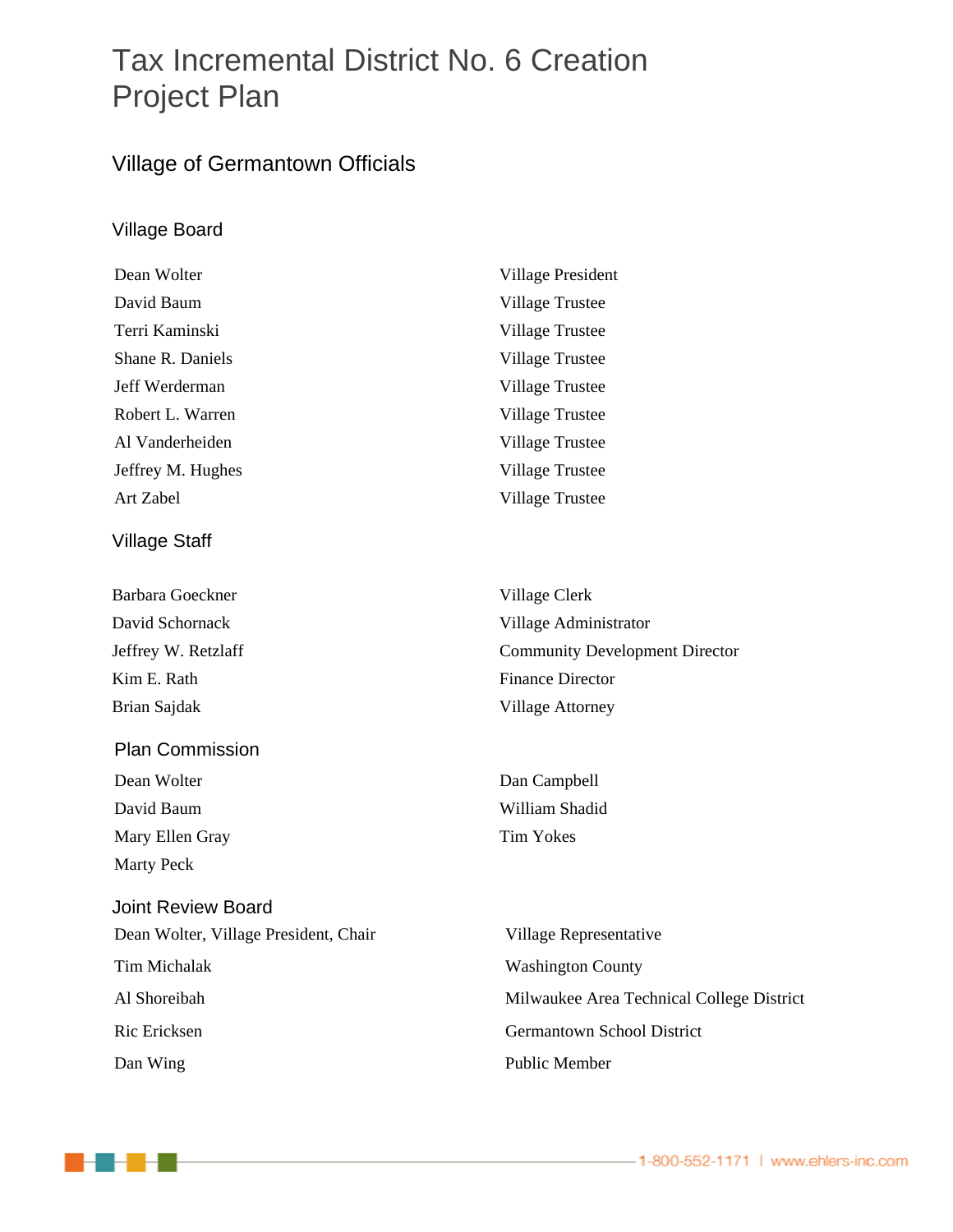## Tax Incremental District No. 6 Creation Project Plan

### Village of Germantown Officials

#### Village Board

| Dean Wolter       | Village President      |
|-------------------|------------------------|
| David Baum        | Village Trustee        |
| Terri Kaminski    | Village Trustee        |
| Shane R. Daniels  | <b>Village Trustee</b> |
| Jeff Werderman    | Village Trustee        |
| Robert L. Warren  | Village Trustee        |
| Al Vanderheiden   | Village Trustee        |
| Jeffrey M. Hughes | Village Trustee        |
| Art Zabel         | Village Trustee        |
| Village Staff     |                        |
| Barbara Goeckner  | Village Clerk          |
| David Schornack   | Village Administrator  |
|                   |                        |

Brian Sajdak Village Attorney

### Plan Commission Dean Wolter Dan Campbell David Baum William Shadid Mary Ellen Gray Tim Yokes Marty Peck

- - -

Joint Review Board Dean Wolter, Village President, Chair Village Representative Tim Michalak Washington County Ric Ericksen Germantown School District Dan Wing Public Member

Jeffrey W. Retzlaff Community Development Director Kim E. Rath Finance Director

Al Shoreibah Milwaukee Area Technical College District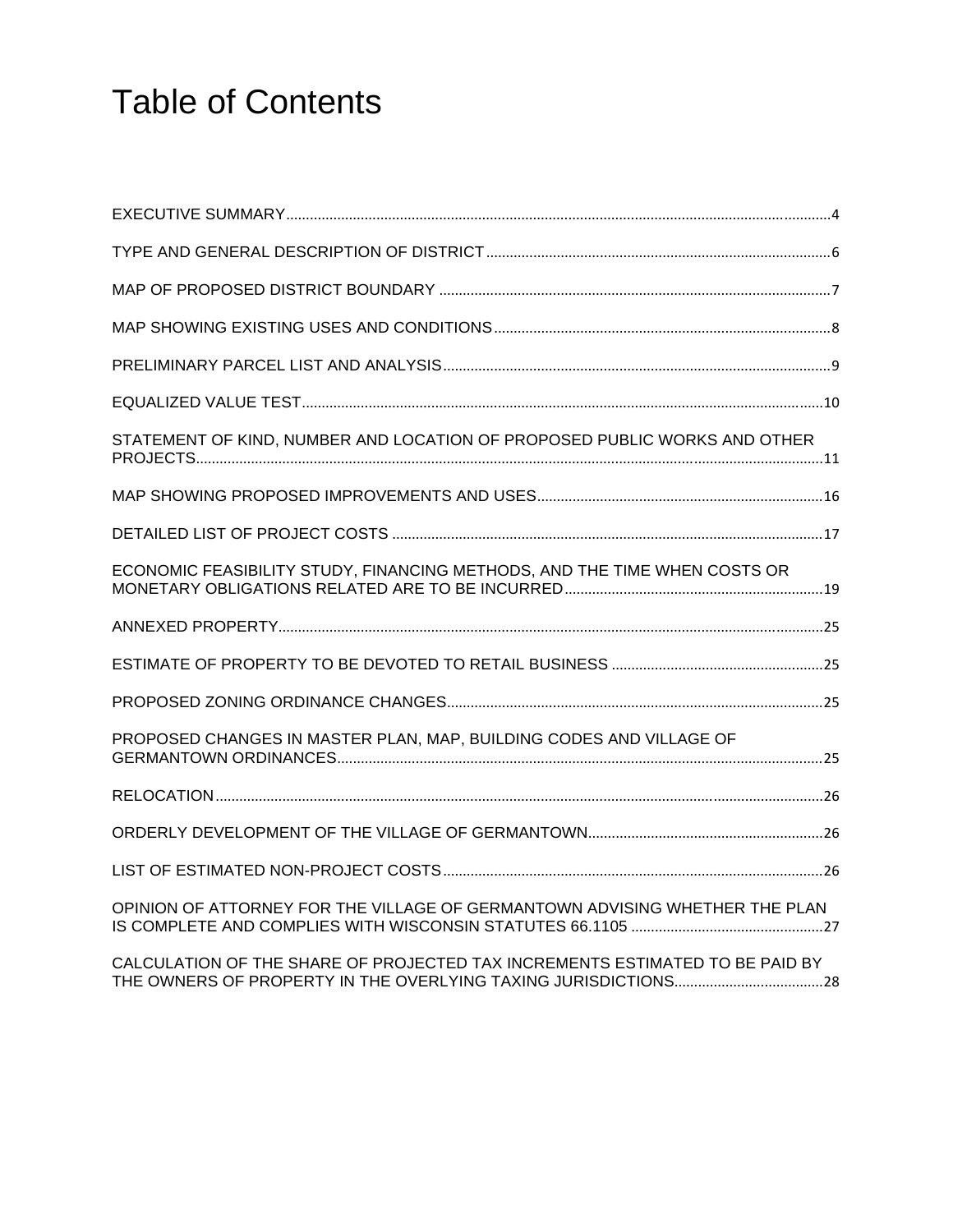# Table of Contents

| STATEMENT OF KIND, NUMBER AND LOCATION OF PROPOSED PUBLIC WORKS AND OTHER    |  |
|------------------------------------------------------------------------------|--|
|                                                                              |  |
|                                                                              |  |
| ECONOMIC FEASIBILITY STUDY, FINANCING METHODS, AND THE TIME WHEN COSTS OR    |  |
|                                                                              |  |
|                                                                              |  |
|                                                                              |  |
| PROPOSED CHANGES IN MASTER PLAN, MAP, BUILDING CODES AND VILLAGE OF          |  |
|                                                                              |  |
|                                                                              |  |
|                                                                              |  |
| OPINION OF ATTORNEY FOR THE VILLAGE OF GERMANTOWN ADVISING WHETHER THE PLAN  |  |
| CALCULATION OF THE SHARE OF PROJECTED TAX INCREMENTS ESTIMATED TO BE PAID BY |  |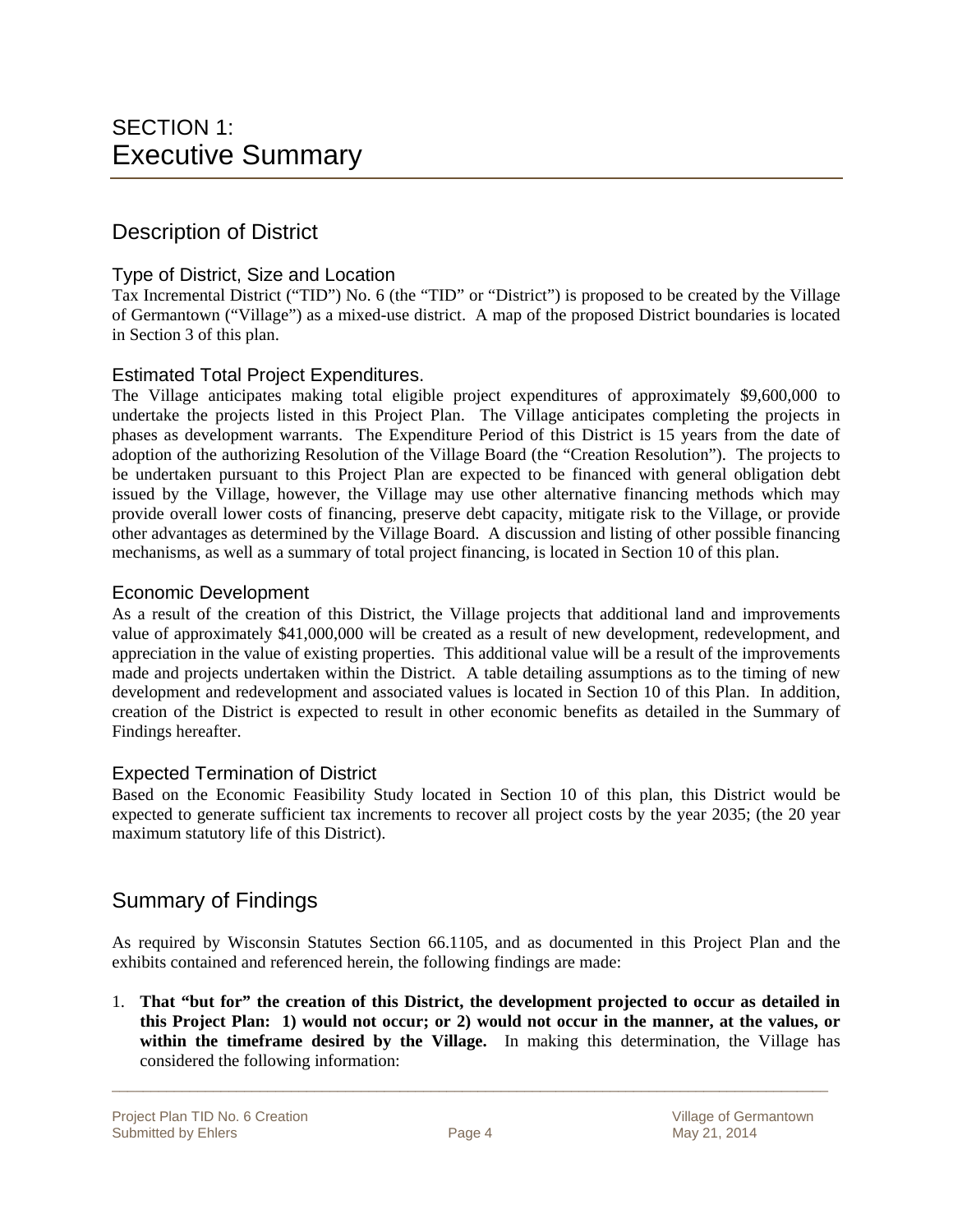### Description of District

#### Type of District, Size and Location

Tax Incremental District ("TID") No. 6 (the "TID" or "District") is proposed to be created by the Village of Germantown ("Village") as a mixed-use district. A map of the proposed District boundaries is located in Section 3 of this plan.

#### Estimated Total Project Expenditures.

The Village anticipates making total eligible project expenditures of approximately \$9,600,000 to undertake the projects listed in this Project Plan. The Village anticipates completing the projects in phases as development warrants. The Expenditure Period of this District is 15 years from the date of adoption of the authorizing Resolution of the Village Board (the "Creation Resolution"). The projects to be undertaken pursuant to this Project Plan are expected to be financed with general obligation debt issued by the Village, however, the Village may use other alternative financing methods which may provide overall lower costs of financing, preserve debt capacity, mitigate risk to the Village, or provide other advantages as determined by the Village Board. A discussion and listing of other possible financing mechanisms, as well as a summary of total project financing, is located in Section 10 of this plan.

#### Economic Development

As a result of the creation of this District, the Village projects that additional land and improvements value of approximately \$41,000,000 will be created as a result of new development, redevelopment, and appreciation in the value of existing properties. This additional value will be a result of the improvements made and projects undertaken within the District. A table detailing assumptions as to the timing of new development and redevelopment and associated values is located in Section 10 of this Plan. In addition, creation of the District is expected to result in other economic benefits as detailed in the Summary of Findings hereafter.

#### Expected Termination of District

Based on the Economic Feasibility Study located in Section 10 of this plan, this District would be expected to generate sufficient tax increments to recover all project costs by the year 2035; (the 20 year maximum statutory life of this District).

### Summary of Findings

As required by Wisconsin Statutes Section 66.1105, and as documented in this Project Plan and the exhibits contained and referenced herein, the following findings are made:

1. **That "but for" the creation of this District, the development projected to occur as detailed in this Project Plan: 1) would not occur; or 2) would not occur in the manner, at the values, or within the timeframe desired by the Village.** In making this determination, the Village has considered the following information: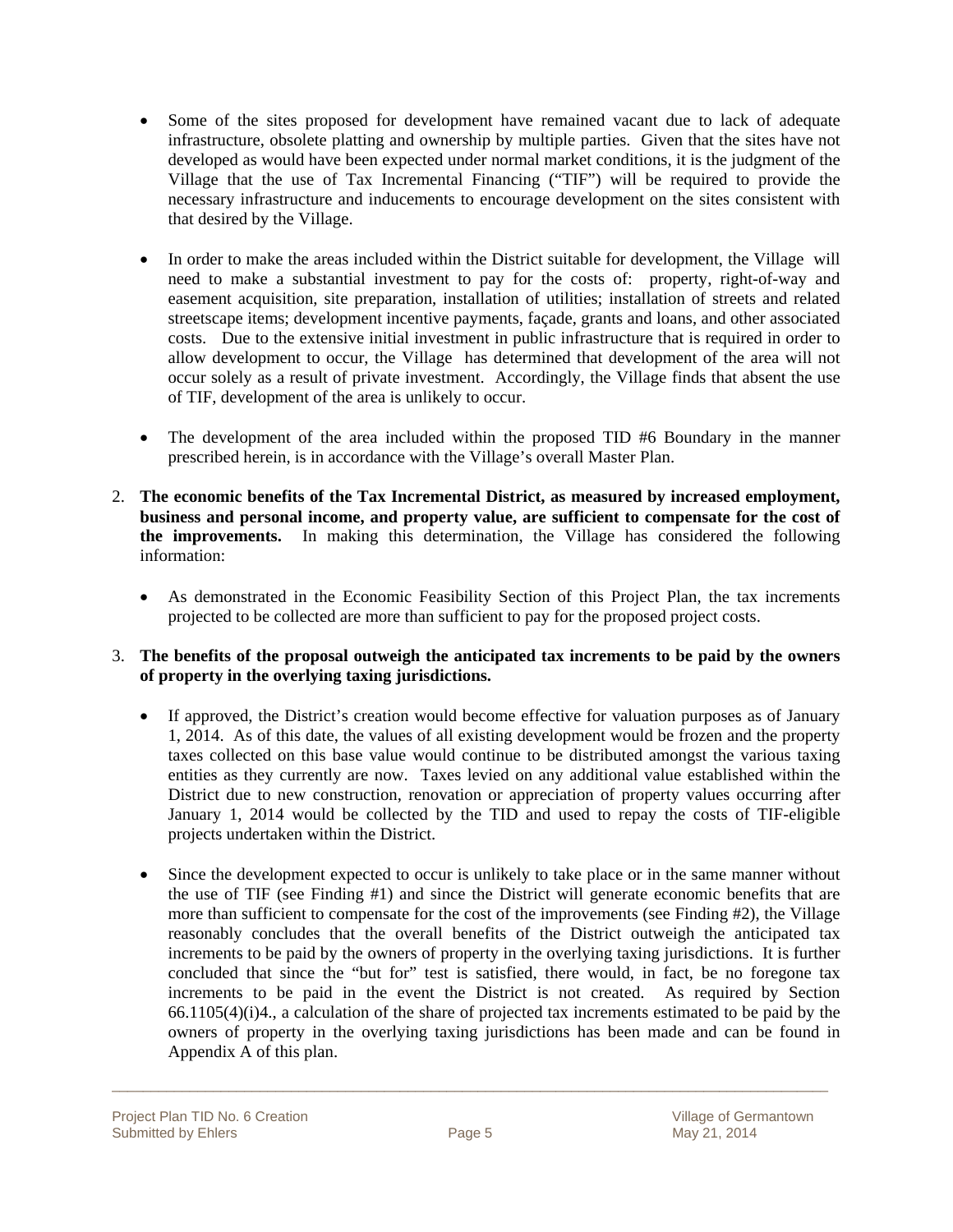- Some of the sites proposed for development have remained vacant due to lack of adequate infrastructure, obsolete platting and ownership by multiple parties. Given that the sites have not developed as would have been expected under normal market conditions, it is the judgment of the Village that the use of Tax Incremental Financing ("TIF") will be required to provide the necessary infrastructure and inducements to encourage development on the sites consistent with that desired by the Village.
- In order to make the areas included within the District suitable for development, the Village will need to make a substantial investment to pay for the costs of: property, right-of-way and easement acquisition, site preparation, installation of utilities; installation of streets and related streetscape items; development incentive payments, façade, grants and loans, and other associated costs. Due to the extensive initial investment in public infrastructure that is required in order to allow development to occur, the Village has determined that development of the area will not occur solely as a result of private investment. Accordingly, the Village finds that absent the use of TIF, development of the area is unlikely to occur.
- The development of the area included within the proposed TID #6 Boundary in the manner prescribed herein, is in accordance with the Village's overall Master Plan.
- 2. **The economic benefits of the Tax Incremental District, as measured by increased employment, business and personal income, and property value, are sufficient to compensate for the cost of the improvements.** In making this determination, the Village has considered the following information:
	- As demonstrated in the Economic Feasibility Section of this Project Plan, the tax increments projected to be collected are more than sufficient to pay for the proposed project costs.

#### 3. **The benefits of the proposal outweigh the anticipated tax increments to be paid by the owners of property in the overlying taxing jurisdictions.**

- If approved, the District's creation would become effective for valuation purposes as of January 1, 2014. As of this date, the values of all existing development would be frozen and the property taxes collected on this base value would continue to be distributed amongst the various taxing entities as they currently are now. Taxes levied on any additional value established within the District due to new construction, renovation or appreciation of property values occurring after January 1, 2014 would be collected by the TID and used to repay the costs of TIF-eligible projects undertaken within the District.
- Since the development expected to occur is unlikely to take place or in the same manner without the use of TIF (see Finding #1) and since the District will generate economic benefits that are more than sufficient to compensate for the cost of the improvements (see Finding #2), the Village reasonably concludes that the overall benefits of the District outweigh the anticipated tax increments to be paid by the owners of property in the overlying taxing jurisdictions. It is further concluded that since the "but for" test is satisfied, there would, in fact, be no foregone tax increments to be paid in the event the District is not created. As required by Section 66.1105(4)(i)4., a calculation of the share of projected tax increments estimated to be paid by the owners of property in the overlying taxing jurisdictions has been made and can be found in Appendix A of this plan.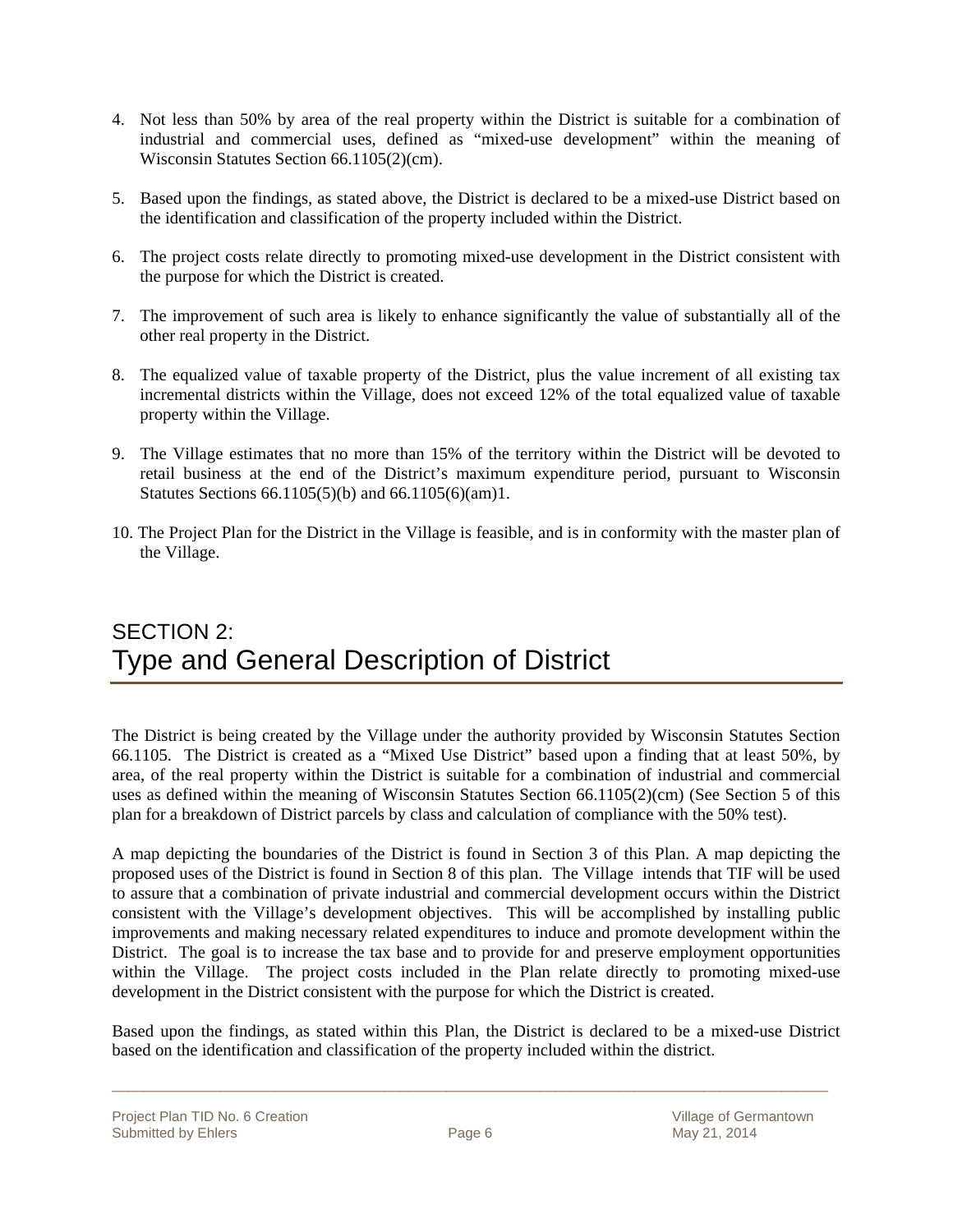- 4. Not less than 50% by area of the real property within the District is suitable for a combination of industrial and commercial uses, defined as "mixed-use development" within the meaning of Wisconsin Statutes Section 66.1105(2)(cm).
- 5. Based upon the findings, as stated above, the District is declared to be a mixed-use District based on the identification and classification of the property included within the District.
- 6. The project costs relate directly to promoting mixed-use development in the District consistent with the purpose for which the District is created.
- 7. The improvement of such area is likely to enhance significantly the value of substantially all of the other real property in the District.
- 8. The equalized value of taxable property of the District, plus the value increment of all existing tax incremental districts within the Village, does not exceed 12% of the total equalized value of taxable property within the Village.
- 9. The Village estimates that no more than 15% of the territory within the District will be devoted to retail business at the end of the District's maximum expenditure period, pursuant to Wisconsin Statutes Sections 66.1105(5)(b) and 66.1105(6)(am)1.
- 10. The Project Plan for the District in the Village is feasible, and is in conformity with the master plan of the Village.

### SECTION 2: Type and General Description of District

The District is being created by the Village under the authority provided by Wisconsin Statutes Section 66.1105. The District is created as a "Mixed Use District" based upon a finding that at least 50%, by area, of the real property within the District is suitable for a combination of industrial and commercial uses as defined within the meaning of Wisconsin Statutes Section 66.1105(2)(cm) (See Section 5 of this plan for a breakdown of District parcels by class and calculation of compliance with the 50% test).

A map depicting the boundaries of the District is found in Section 3 of this Plan. A map depicting the proposed uses of the District is found in Section 8 of this plan. The Village intends that TIF will be used to assure that a combination of private industrial and commercial development occurs within the District consistent with the Village's development objectives. This will be accomplished by installing public improvements and making necessary related expenditures to induce and promote development within the District. The goal is to increase the tax base and to provide for and preserve employment opportunities within the Village. The project costs included in the Plan relate directly to promoting mixed-use development in the District consistent with the purpose for which the District is created.

Based upon the findings, as stated within this Plan, the District is declared to be a mixed-use District based on the identification and classification of the property included within the district.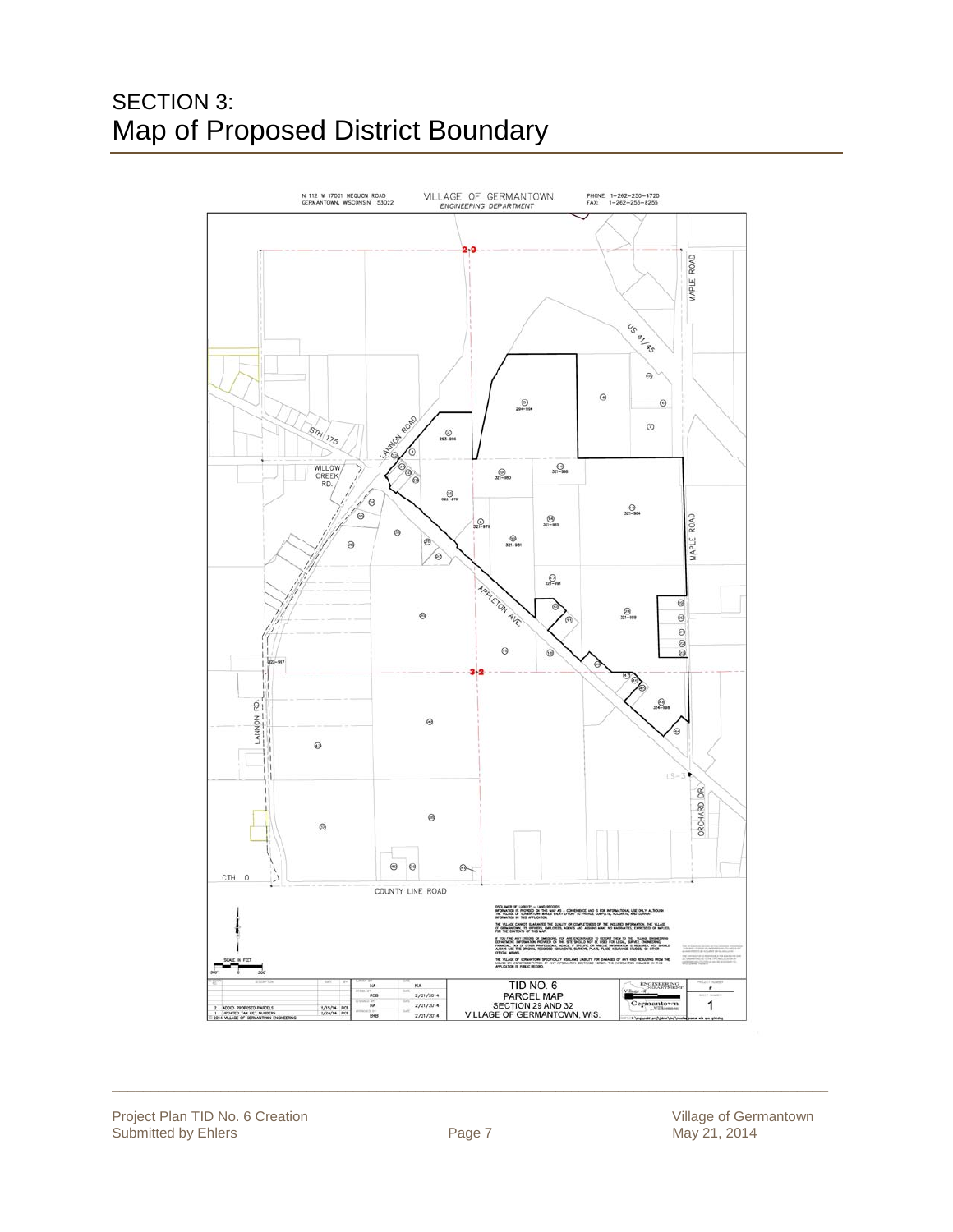### SECTION 3: Map of Proposed District Boundary

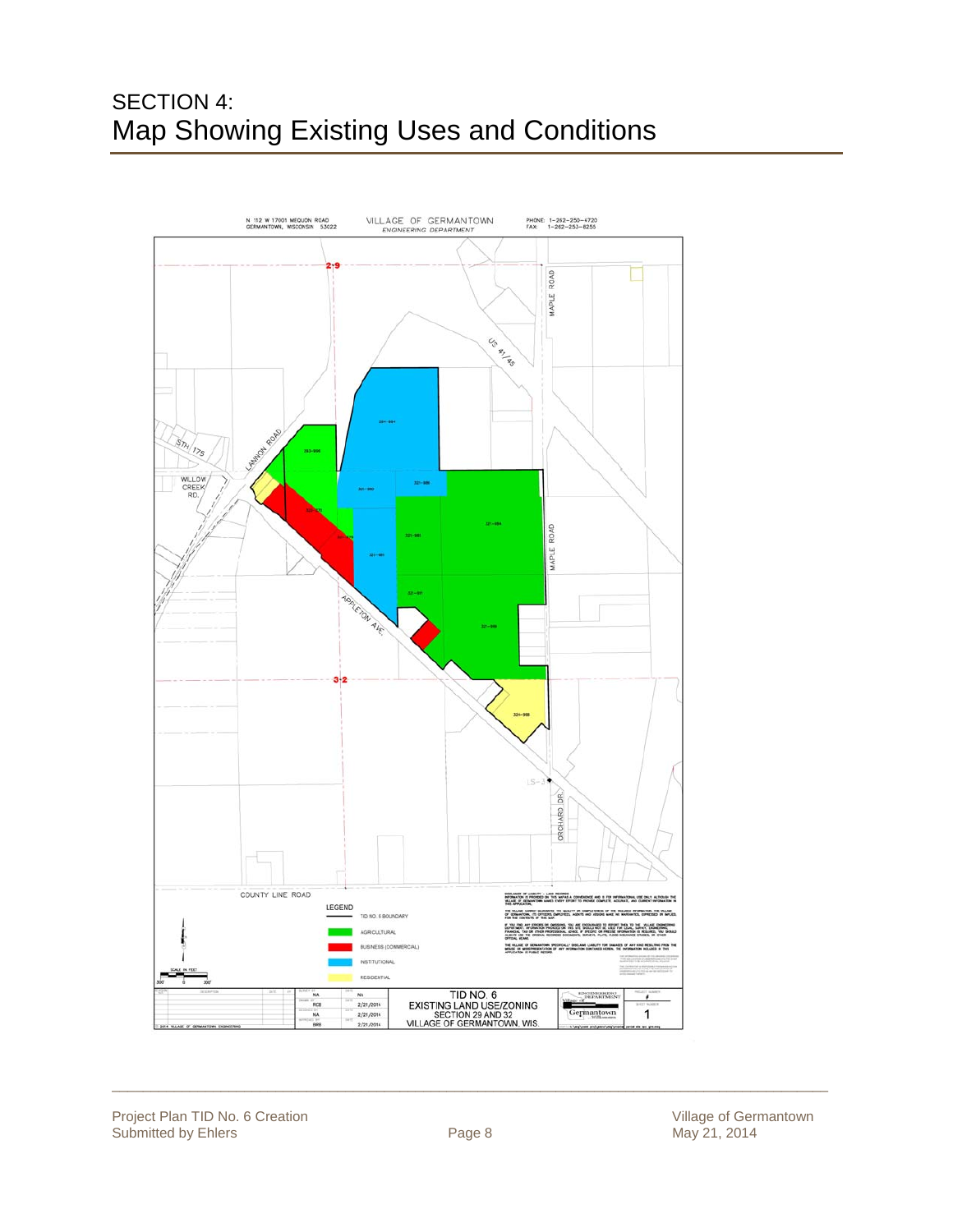### SECTION 4: Map Showing Existing Uses and Conditions

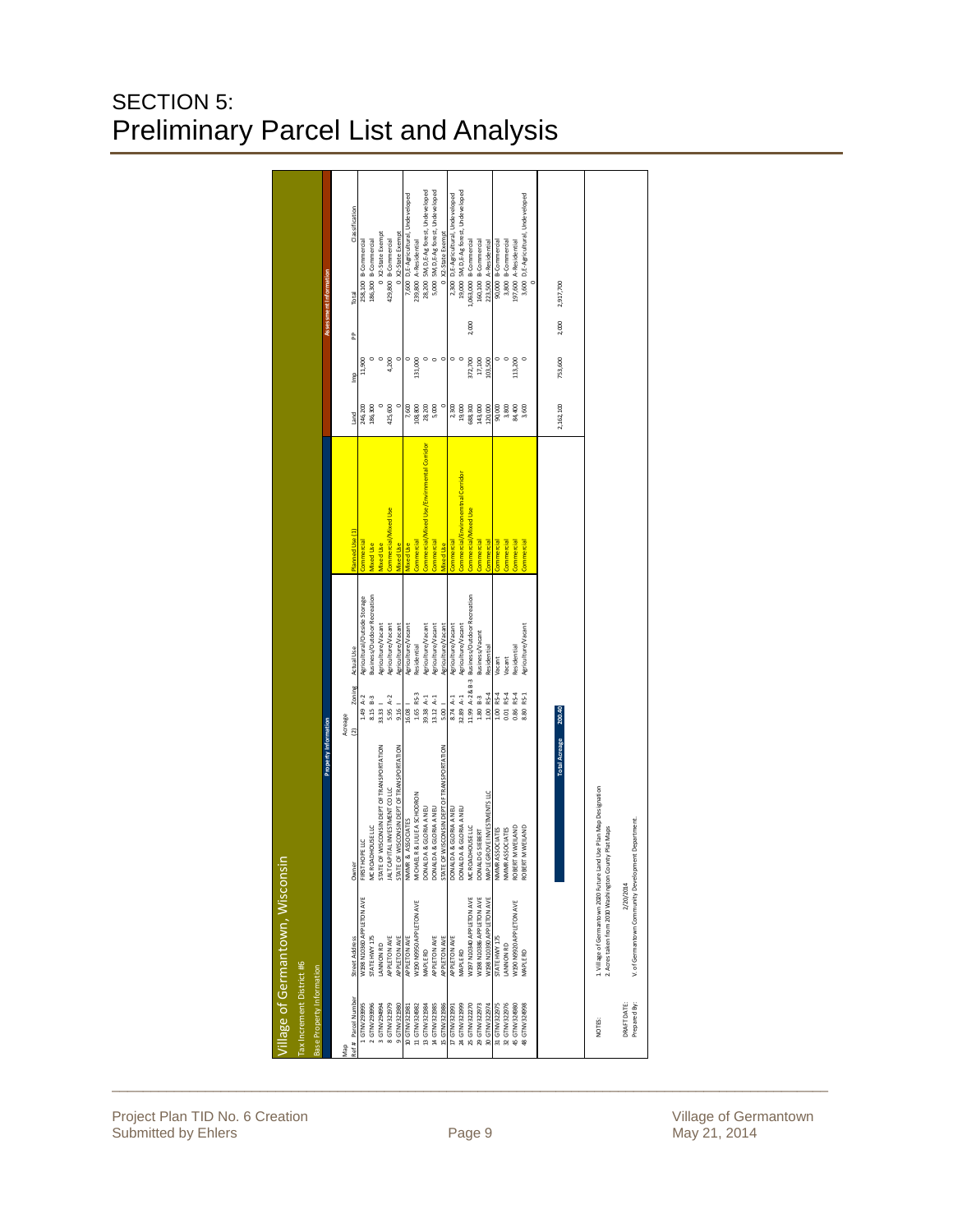### SECTION 5: Preliminary Parcel List and Analysis

|                           | Village of Germantown, Wisconsin                     |                                                                    |                          |                                             |                                           |           |         |       |                                       |  |
|---------------------------|------------------------------------------------------|--------------------------------------------------------------------|--------------------------|---------------------------------------------|-------------------------------------------|-----------|---------|-------|---------------------------------------|--|
| Tax Increment District #6 |                                                      |                                                                    |                          |                                             |                                           |           |         |       |                                       |  |
| Base Property Information |                                                      |                                                                    |                          |                                             |                                           |           |         |       |                                       |  |
|                           |                                                      | <b>Property Information</b>                                        |                          |                                             |                                           |           |         |       | Assessment Information                |  |
| geM                       |                                                      |                                                                    | Acreage                  |                                             |                                           |           |         |       |                                       |  |
| Ref# Parcel Number        | Street Address                                       | Owner                                                              | Zoning<br>$\overline{2}$ | Actual Use                                  | Planned Use (1)                           | Land      | E       | å     | Classification<br>Total               |  |
| 1 GTNV293995              | W198 N10360 APPLETON AVE                             | FIRST HOPE LLC                                                     | $1.49 A-2$               | Agricultural/Outside Storage                | commercial                                | 246,200   | 11,900  |       | 258,100 B-Commercial                  |  |
| 2 GTNV293996              | <b>STATE HWY 175</b>                                 | MC ROADHOUSE LLC                                                   | 8.15 8-3                 | <b>Business/Outdoor Recreation</b>          | <b><i><u>Nixed</u></i></b> Use            | 186,300   |         |       | 186,300 B-Commercial                  |  |
| 3 GTNV294994              | ANNON RD                                             | STATE OF WISCONSIN DEPT OF TRANSPORTATION                          | $33.33 -$                | Agriculture/Vacant                          | <b><i><u>Nixed Use</u></i></b>            |           | $\circ$ |       | 0 X2-State Exempt                     |  |
| 8 GTNV321979              | APPLETON AVE                                         | JALT CAPITAL INVESTMENT CO LLC                                     | 5.95 $A-2$               | Agriculture/Vacant                          | omme rcial/Mixed Use                      | 125,600   | 4,200   |       | 429,800 B-Commercial                  |  |
| 9 GTNV321980              | APPLETON AVE                                         | STATE OF WISCONSIN DEPT OF TRANSPORTATION                          | $9.16$                   | Agriculture/Vacant                          | <b>Aixed Use</b>                          |           |         |       | 0 X2-State Exempt                     |  |
| 10 GTNV321981             | APPLETON AVE                                         | NMMR & ASSOCIATES                                                  | 16.08                    | Agriculture/Vacant                          | vixed Use                                 | 7,600     |         |       | 7,600 D,E-Agricultural, Undeveloped   |  |
| 11 GTNV324982             | W190 N9950 APP LETON AVE                             | MICHAEL R & JULIE A SCHODRON                                       | 1.65 RS-3                | Residential                                 | omme rcial                                | 108,800   | 131,000 |       | 239,800 A-Residential                 |  |
| 13 GTNV321984             | MAPLE RD                                             | DONALD A & GLORIA A NEU                                            | 39.38 A-1                | Agriculture/Vacant                          | omme rcial/Mixed Use/Envimmental Corridor | 28,200    |         |       | 28,200 SM,D, E-Ag forest, Undeveloped |  |
| 14 GTNV321985             | APPLETON AVE                                         | DONALD A & GLORIA A NEU                                            | 13.12 A-1                | Agriculture/Vacant                          | <b>Commercial</b>                         | 5,000     |         |       | 5,000 SM,D, E-Agforest, Undeveloped   |  |
| 15 GTNV321986             | APPLETON AVE                                         | STATE OF WISCONSIN DEPT OF TRANSPORTATION                          | $5.00 - 1$               | Agriculture/Vacant                          | vixed Use                                 |           | $\circ$ |       | 0 X2-State Exempt                     |  |
| 17 GTNV321991             | APPLETON AVE                                         | DONALD A & GLORIA A NEU                                            | 8.74 A-1                 | Agriculture/Vacant                          | iommercial                                | 2,300     |         |       | 2,300 D,E-Agricultural, Undeveloped   |  |
| 24 GTNV321999             | MAPLE RD                                             | DONALD A & GLORIA A NEU                                            | 32.89 A-1                | Agriculture/Vacant                          | omme rcial/Environemtnal Corridor         | 19,000    |         |       | 19,000 SM,D, E-Agforest, Undeveloped  |  |
| 25 GTN V32227C            | W197 N10340 APPLETON AVE                             | MC ROADHOUSE LLC                                                   |                          | 11.99 A-2 & B-3 Business/Outdoor Recreation | omme rcial/Mixed Use                      | 588,300   | 372,700 | 2,000 | 1,063,000 B-Commercial                |  |
| 29 GTNV322973             | V198 N10386 APPLETON AVE                             | DONALD GSIEBERT                                                    | $1.80 B-3$               | <b>Business/Vacant</b>                      | omme rcial                                | 143,000   | 17,100  |       | 160,100 B-Commercial                  |  |
| 30 GTNV322974             | M198 N10390 APPLETON AVE                             | MAPLE GROVE INVESTMENTS LLC                                        | $1.00 R5-4$              | <b>Residential</b>                          | omme rcial                                | 120,000   | 103,500 |       | 223,500 A-Residential                 |  |
| 31 GTNV32297              | <b>STATE HWY 175</b>                                 | NMMR ASSOCIATES                                                    | $1.00 RS-4$              | Vacant                                      | omme rcia                                 | 90,000    |         |       | 90,000 B-Commercial                   |  |
| 32 GTNV322976             | ANNON RD                                             | NMMR ASSOCIATES                                                    | $0.01$ RS-4              | Vacant                                      | omme rcial                                | 3,800     | $\circ$ |       | 3,800 B-Commercial                    |  |
| 45 GTNV32498C             | V190 N9920 APP LETON AVE                             | ROBERT MWEILAND                                                    | 0.86 RS-4                | Reside ntial                                | omme rcial                                | 84,400    | 113,200 |       | 197,600 A-Residential                 |  |
| 18 GTNV324998             | <b>MAPLE RD</b>                                      | ROBERT MWEILAND                                                    | $RS-1$<br>8.80           | Agriculture/Vacant                          | comme rcial                               | 3,600     |         |       | 3,600 D, E-Agricultural, Undeveloped  |  |
|                           |                                                      |                                                                    |                          |                                             |                                           |           |         |       |                                       |  |
|                           |                                                      |                                                                    |                          |                                             |                                           |           |         |       |                                       |  |
|                           |                                                      | <b>Total Acreage</b>                                               | 200.40                   |                                             |                                           | 2,162,100 | 753,600 | 2,000 | 2,917,700                             |  |
|                           |                                                      |                                                                    |                          |                                             |                                           |           |         |       |                                       |  |
|                           |                                                      |                                                                    |                          |                                             |                                           |           |         |       |                                       |  |
| NOTES:                    | 2. Acres taken from 2010 Washington County Plat Maps | 1. Village of Germantown 2020 Future Land Use Plan Map Designation |                          |                                             |                                           |           |         |       |                                       |  |
| DRAFT DATE:               | 2/20/2014                                            |                                                                    |                          |                                             |                                           |           |         |       |                                       |  |
| Prepared By:              | V. of Germantown Community Development Department    |                                                                    |                          |                                             |                                           |           |         |       |                                       |  |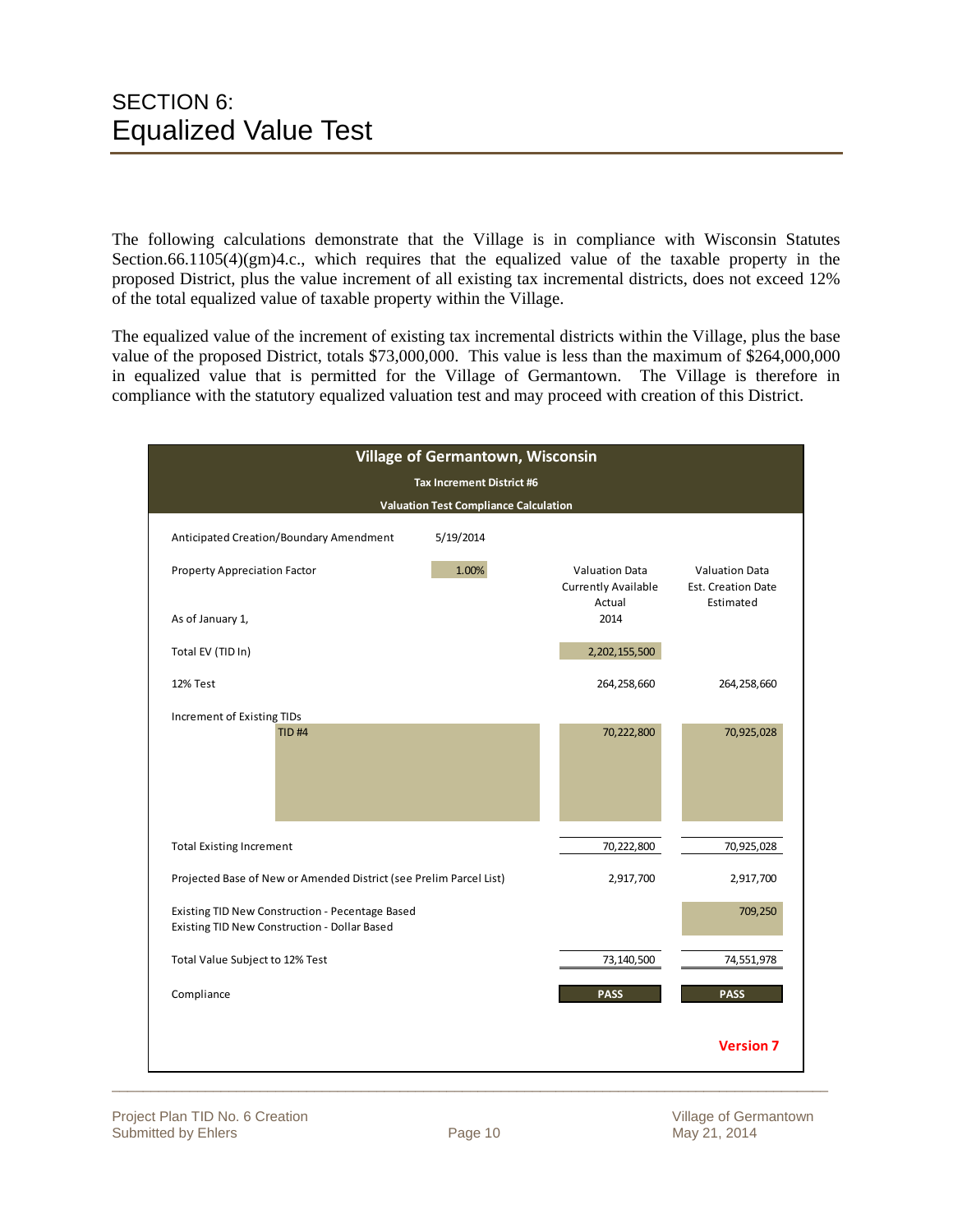The following calculations demonstrate that the Village is in compliance with Wisconsin Statutes Section.66.1105(4)(gm)4.c., which requires that the equalized value of the taxable property in the proposed District, plus the value increment of all existing tax incremental districts, does not exceed 12% of the total equalized value of taxable property within the Village.

The equalized value of the increment of existing tax incremental districts within the Village, plus the base value of the proposed District, totals \$73,000,000. This value is less than the maximum of \$264,000,000 in equalized value that is permitted for the Village of Germantown. The Village is therefore in compliance with the statutory equalized valuation test and may proceed with creation of this District.

|                                                                                                 |                                              | Village of Germantown, Wisconsin                       |                                                                 |
|-------------------------------------------------------------------------------------------------|----------------------------------------------|--------------------------------------------------------|-----------------------------------------------------------------|
|                                                                                                 | Tax Increment District #6                    |                                                        |                                                                 |
|                                                                                                 | <b>Valuation Test Compliance Calculation</b> |                                                        |                                                                 |
| Anticipated Creation/Boundary Amendment                                                         | 5/19/2014                                    |                                                        |                                                                 |
| <b>Property Appreciation Factor</b>                                                             | 1.00%                                        | <b>Valuation Data</b><br>Currently Available<br>Actual | <b>Valuation Data</b><br><b>Est. Creation Date</b><br>Estimated |
| As of January 1,                                                                                |                                              | 2014                                                   |                                                                 |
| Total EV (TID In)                                                                               |                                              | 2,202,155,500                                          |                                                                 |
| 12% Test                                                                                        |                                              | 264,258,660                                            | 264,258,660                                                     |
| Increment of Existing TIDs<br><b>TID#4</b>                                                      |                                              | 70,222,800                                             | 70,925,028                                                      |
|                                                                                                 |                                              |                                                        |                                                                 |
| <b>Total Existing Increment</b>                                                                 |                                              | 70,222,800                                             | 70,925,028                                                      |
| Projected Base of New or Amended District (see Prelim Parcel List)                              |                                              | 2,917,700                                              | 2,917,700                                                       |
| Existing TID New Construction - Pecentage Based<br>Existing TID New Construction - Dollar Based |                                              |                                                        | 709,250                                                         |
| Total Value Subject to 12% Test                                                                 |                                              | 73,140,500                                             | 74,551,978                                                      |
|                                                                                                 |                                              |                                                        |                                                                 |
| Compliance                                                                                      |                                              | <b>PASS</b>                                            | <b>PASS</b>                                                     |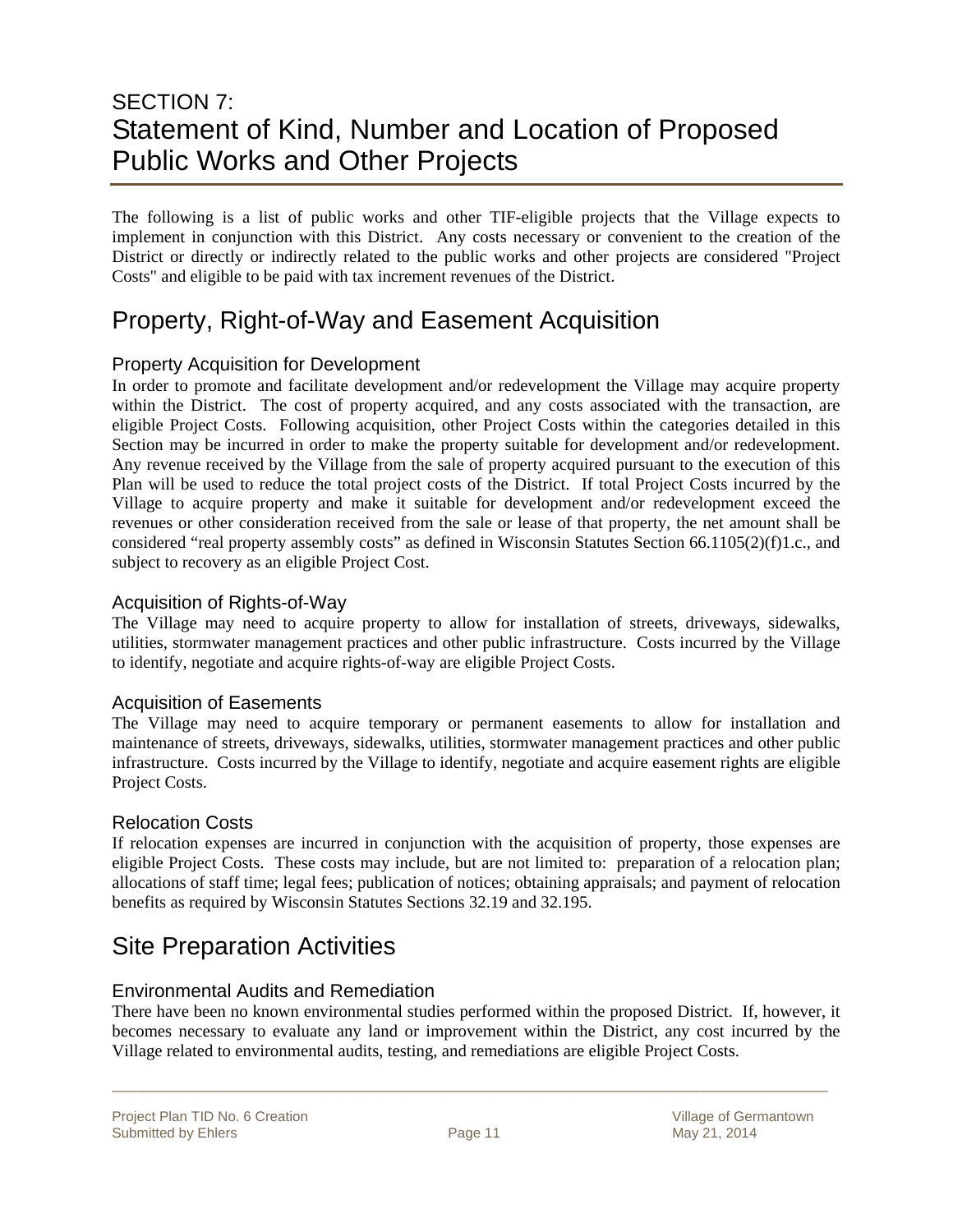### SECTION 7: Statement of Kind, Number and Location of Proposed Public Works and Other Projects

The following is a list of public works and other TIF-eligible projects that the Village expects to implement in conjunction with this District. Any costs necessary or convenient to the creation of the District or directly or indirectly related to the public works and other projects are considered "Project Costs" and eligible to be paid with tax increment revenues of the District.

### Property, Right-of-Way and Easement Acquisition

### Property Acquisition for Development

In order to promote and facilitate development and/or redevelopment the Village may acquire property within the District. The cost of property acquired, and any costs associated with the transaction, are eligible Project Costs. Following acquisition, other Project Costs within the categories detailed in this Section may be incurred in order to make the property suitable for development and/or redevelopment. Any revenue received by the Village from the sale of property acquired pursuant to the execution of this Plan will be used to reduce the total project costs of the District. If total Project Costs incurred by the Village to acquire property and make it suitable for development and/or redevelopment exceed the revenues or other consideration received from the sale or lease of that property, the net amount shall be considered "real property assembly costs" as defined in Wisconsin Statutes Section 66.1105(2)(f)1.c., and subject to recovery as an eligible Project Cost.

#### Acquisition of Rights-of-Way

The Village may need to acquire property to allow for installation of streets, driveways, sidewalks, utilities, stormwater management practices and other public infrastructure. Costs incurred by the Village to identify, negotiate and acquire rights-of-way are eligible Project Costs.

#### Acquisition of Easements

The Village may need to acquire temporary or permanent easements to allow for installation and maintenance of streets, driveways, sidewalks, utilities, stormwater management practices and other public infrastructure. Costs incurred by the Village to identify, negotiate and acquire easement rights are eligible Project Costs.

#### Relocation Costs

If relocation expenses are incurred in conjunction with the acquisition of property, those expenses are eligible Project Costs. These costs may include, but are not limited to: preparation of a relocation plan; allocations of staff time; legal fees; publication of notices; obtaining appraisals; and payment of relocation benefits as required by Wisconsin Statutes Sections 32.19 and 32.195.

### Site Preparation Activities

#### Environmental Audits and Remediation

There have been no known environmental studies performed within the proposed District. If, however, it becomes necessary to evaluate any land or improvement within the District, any cost incurred by the Village related to environmental audits, testing, and remediations are eligible Project Costs.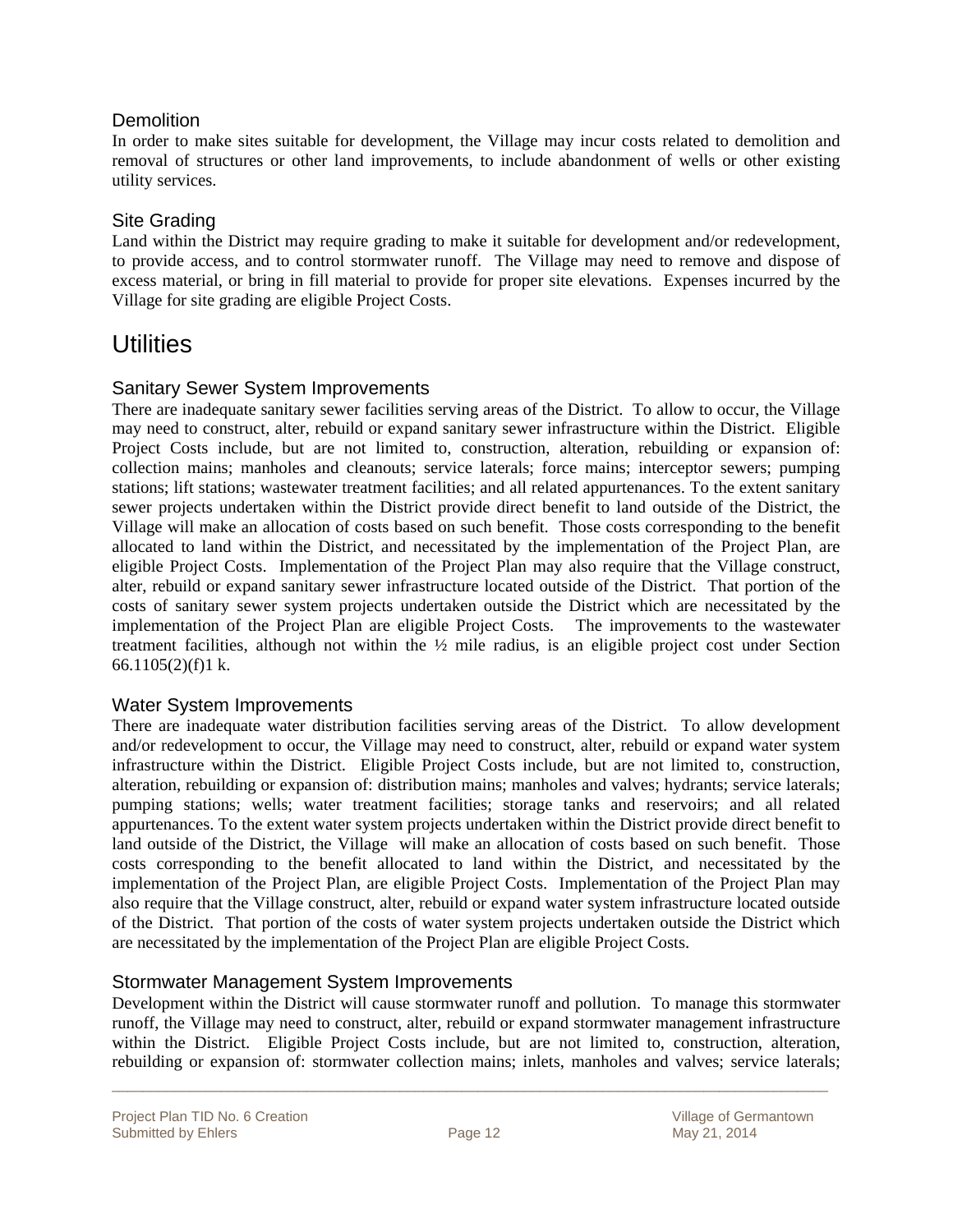### **Demolition**

In order to make sites suitable for development, the Village may incur costs related to demolition and removal of structures or other land improvements, to include abandonment of wells or other existing utility services.

#### Site Grading

Land within the District may require grading to make it suitable for development and/or redevelopment, to provide access, and to control stormwater runoff. The Village may need to remove and dispose of excess material, or bring in fill material to provide for proper site elevations. Expenses incurred by the Village for site grading are eligible Project Costs.

### **Utilities**

#### Sanitary Sewer System Improvements

There are inadequate sanitary sewer facilities serving areas of the District. To allow to occur, the Village may need to construct, alter, rebuild or expand sanitary sewer infrastructure within the District. Eligible Project Costs include, but are not limited to, construction, alteration, rebuilding or expansion of: collection mains; manholes and cleanouts; service laterals; force mains; interceptor sewers; pumping stations; lift stations; wastewater treatment facilities; and all related appurtenances. To the extent sanitary sewer projects undertaken within the District provide direct benefit to land outside of the District, the Village will make an allocation of costs based on such benefit. Those costs corresponding to the benefit allocated to land within the District, and necessitated by the implementation of the Project Plan, are eligible Project Costs. Implementation of the Project Plan may also require that the Village construct, alter, rebuild or expand sanitary sewer infrastructure located outside of the District. That portion of the costs of sanitary sewer system projects undertaken outside the District which are necessitated by the implementation of the Project Plan are eligible Project Costs. The improvements to the wastewater treatment facilities, although not within the ½ mile radius, is an eligible project cost under Section 66.1105 $(2)(f)1$  k.

#### Water System Improvements

There are inadequate water distribution facilities serving areas of the District. To allow development and/or redevelopment to occur, the Village may need to construct, alter, rebuild or expand water system infrastructure within the District. Eligible Project Costs include, but are not limited to, construction, alteration, rebuilding or expansion of: distribution mains; manholes and valves; hydrants; service laterals; pumping stations; wells; water treatment facilities; storage tanks and reservoirs; and all related appurtenances. To the extent water system projects undertaken within the District provide direct benefit to land outside of the District, the Village will make an allocation of costs based on such benefit. Those costs corresponding to the benefit allocated to land within the District, and necessitated by the implementation of the Project Plan, are eligible Project Costs. Implementation of the Project Plan may also require that the Village construct, alter, rebuild or expand water system infrastructure located outside of the District. That portion of the costs of water system projects undertaken outside the District which are necessitated by the implementation of the Project Plan are eligible Project Costs.

#### Stormwater Management System Improvements

Development within the District will cause stormwater runoff and pollution. To manage this stormwater runoff, the Village may need to construct, alter, rebuild or expand stormwater management infrastructure within the District. Eligible Project Costs include, but are not limited to, construction, alteration, rebuilding or expansion of: stormwater collection mains; inlets, manholes and valves; service laterals;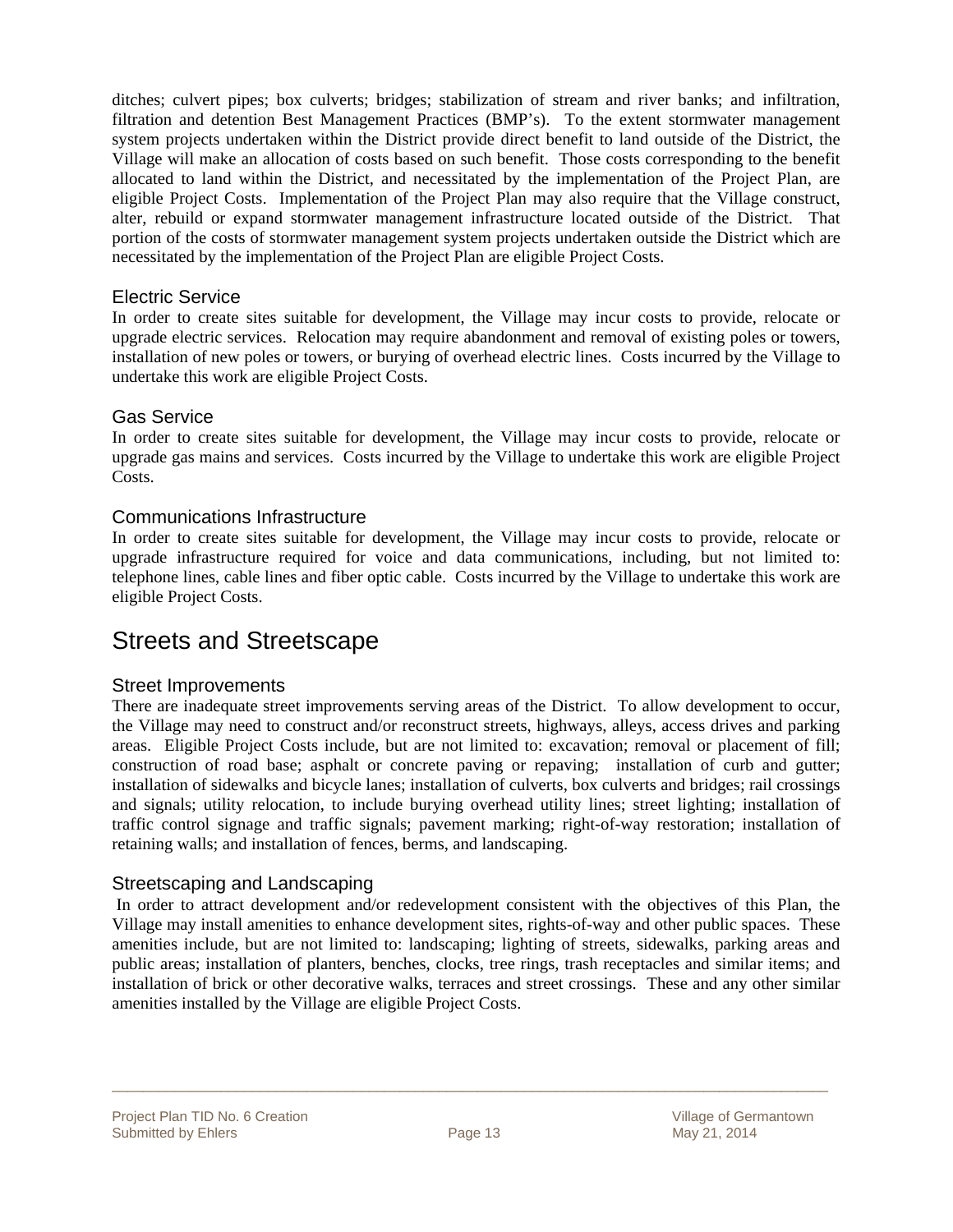ditches; culvert pipes; box culverts; bridges; stabilization of stream and river banks; and infiltration, filtration and detention Best Management Practices (BMP's). To the extent stormwater management system projects undertaken within the District provide direct benefit to land outside of the District, the Village will make an allocation of costs based on such benefit. Those costs corresponding to the benefit allocated to land within the District, and necessitated by the implementation of the Project Plan, are eligible Project Costs. Implementation of the Project Plan may also require that the Village construct, alter, rebuild or expand stormwater management infrastructure located outside of the District. That portion of the costs of stormwater management system projects undertaken outside the District which are necessitated by the implementation of the Project Plan are eligible Project Costs.

#### Electric Service

In order to create sites suitable for development, the Village may incur costs to provide, relocate or upgrade electric services. Relocation may require abandonment and removal of existing poles or towers, installation of new poles or towers, or burying of overhead electric lines. Costs incurred by the Village to undertake this work are eligible Project Costs.

#### Gas Service

In order to create sites suitable for development, the Village may incur costs to provide, relocate or upgrade gas mains and services. Costs incurred by the Village to undertake this work are eligible Project Costs.

#### Communications Infrastructure

In order to create sites suitable for development, the Village may incur costs to provide, relocate or upgrade infrastructure required for voice and data communications, including, but not limited to: telephone lines, cable lines and fiber optic cable. Costs incurred by the Village to undertake this work are eligible Project Costs.

### Streets and Streetscape

#### Street Improvements

There are inadequate street improvements serving areas of the District. To allow development to occur, the Village may need to construct and/or reconstruct streets, highways, alleys, access drives and parking areas. Eligible Project Costs include, but are not limited to: excavation; removal or placement of fill; construction of road base; asphalt or concrete paving or repaving; installation of curb and gutter; installation of sidewalks and bicycle lanes; installation of culverts, box culverts and bridges; rail crossings and signals; utility relocation, to include burying overhead utility lines; street lighting; installation of traffic control signage and traffic signals; pavement marking; right-of-way restoration; installation of retaining walls; and installation of fences, berms, and landscaping.

#### Streetscaping and Landscaping

 In order to attract development and/or redevelopment consistent with the objectives of this Plan, the Village may install amenities to enhance development sites, rights-of-way and other public spaces. These amenities include, but are not limited to: landscaping; lighting of streets, sidewalks, parking areas and public areas; installation of planters, benches, clocks, tree rings, trash receptacles and similar items; and installation of brick or other decorative walks, terraces and street crossings. These and any other similar amenities installed by the Village are eligible Project Costs.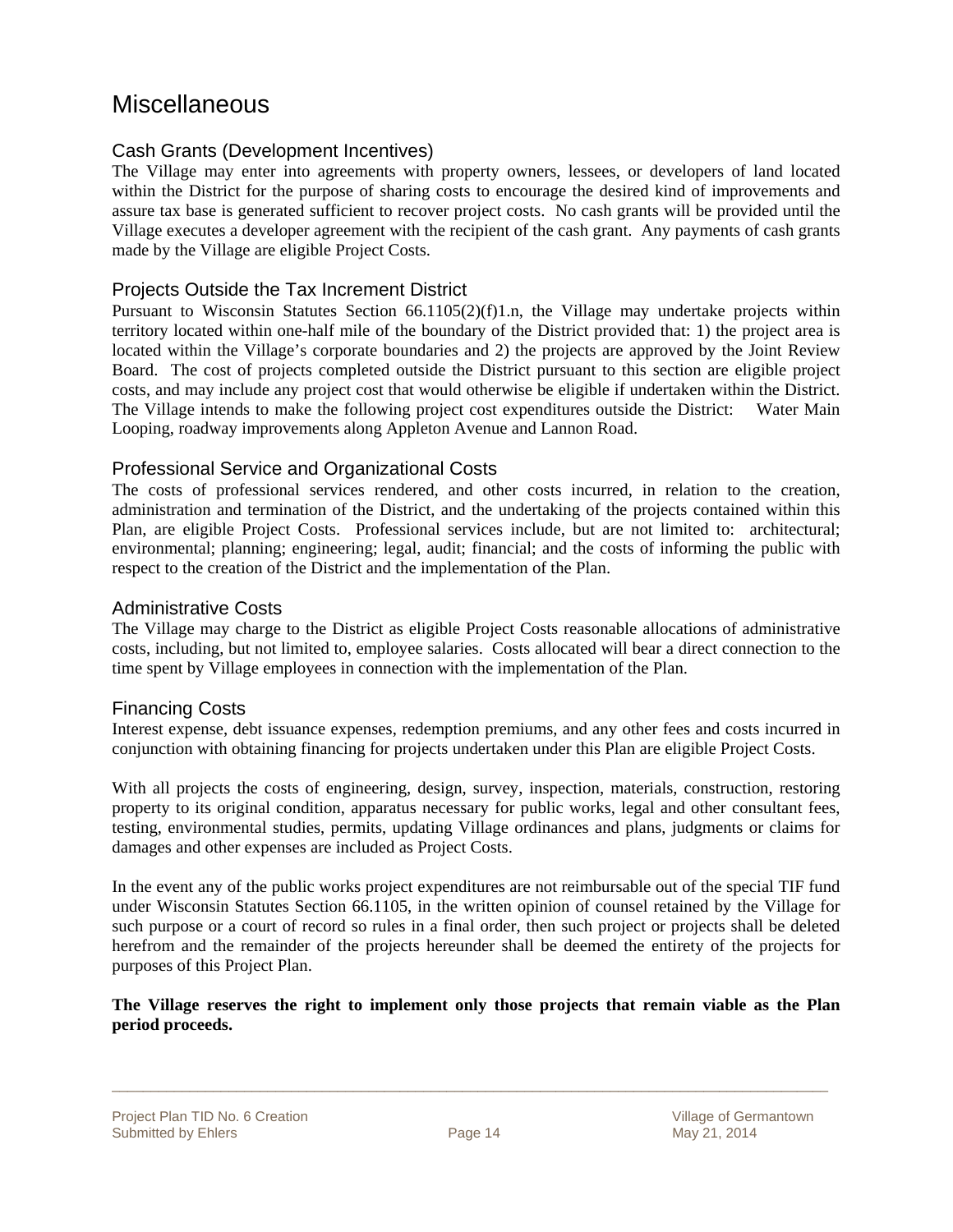### **Miscellaneous**

#### Cash Grants (Development Incentives)

The Village may enter into agreements with property owners, lessees, or developers of land located within the District for the purpose of sharing costs to encourage the desired kind of improvements and assure tax base is generated sufficient to recover project costs. No cash grants will be provided until the Village executes a developer agreement with the recipient of the cash grant. Any payments of cash grants made by the Village are eligible Project Costs.

#### Projects Outside the Tax Increment District

Pursuant to Wisconsin Statutes Section 66.1105(2)(f)1.n, the Village may undertake projects within territory located within one-half mile of the boundary of the District provided that: 1) the project area is located within the Village's corporate boundaries and 2) the projects are approved by the Joint Review Board. The cost of projects completed outside the District pursuant to this section are eligible project costs, and may include any project cost that would otherwise be eligible if undertaken within the District. The Village intends to make the following project cost expenditures outside the District: Water Main Looping, roadway improvements along Appleton Avenue and Lannon Road.

#### Professional Service and Organizational Costs

The costs of professional services rendered, and other costs incurred, in relation to the creation, administration and termination of the District, and the undertaking of the projects contained within this Plan, are eligible Project Costs. Professional services include, but are not limited to: architectural; environmental; planning; engineering; legal, audit; financial; and the costs of informing the public with respect to the creation of the District and the implementation of the Plan.

#### Administrative Costs

The Village may charge to the District as eligible Project Costs reasonable allocations of administrative costs, including, but not limited to, employee salaries. Costs allocated will bear a direct connection to the time spent by Village employees in connection with the implementation of the Plan.

#### Financing Costs

Interest expense, debt issuance expenses, redemption premiums, and any other fees and costs incurred in conjunction with obtaining financing for projects undertaken under this Plan are eligible Project Costs.

With all projects the costs of engineering, design, survey, inspection, materials, construction, restoring property to its original condition, apparatus necessary for public works, legal and other consultant fees, testing, environmental studies, permits, updating Village ordinances and plans, judgments or claims for damages and other expenses are included as Project Costs.

In the event any of the public works project expenditures are not reimbursable out of the special TIF fund under Wisconsin Statutes Section 66.1105, in the written opinion of counsel retained by the Village for such purpose or a court of record so rules in a final order, then such project or projects shall be deleted herefrom and the remainder of the projects hereunder shall be deemed the entirety of the projects for purposes of this Project Plan.

#### **The Village reserves the right to implement only those projects that remain viable as the Plan period proceeds.**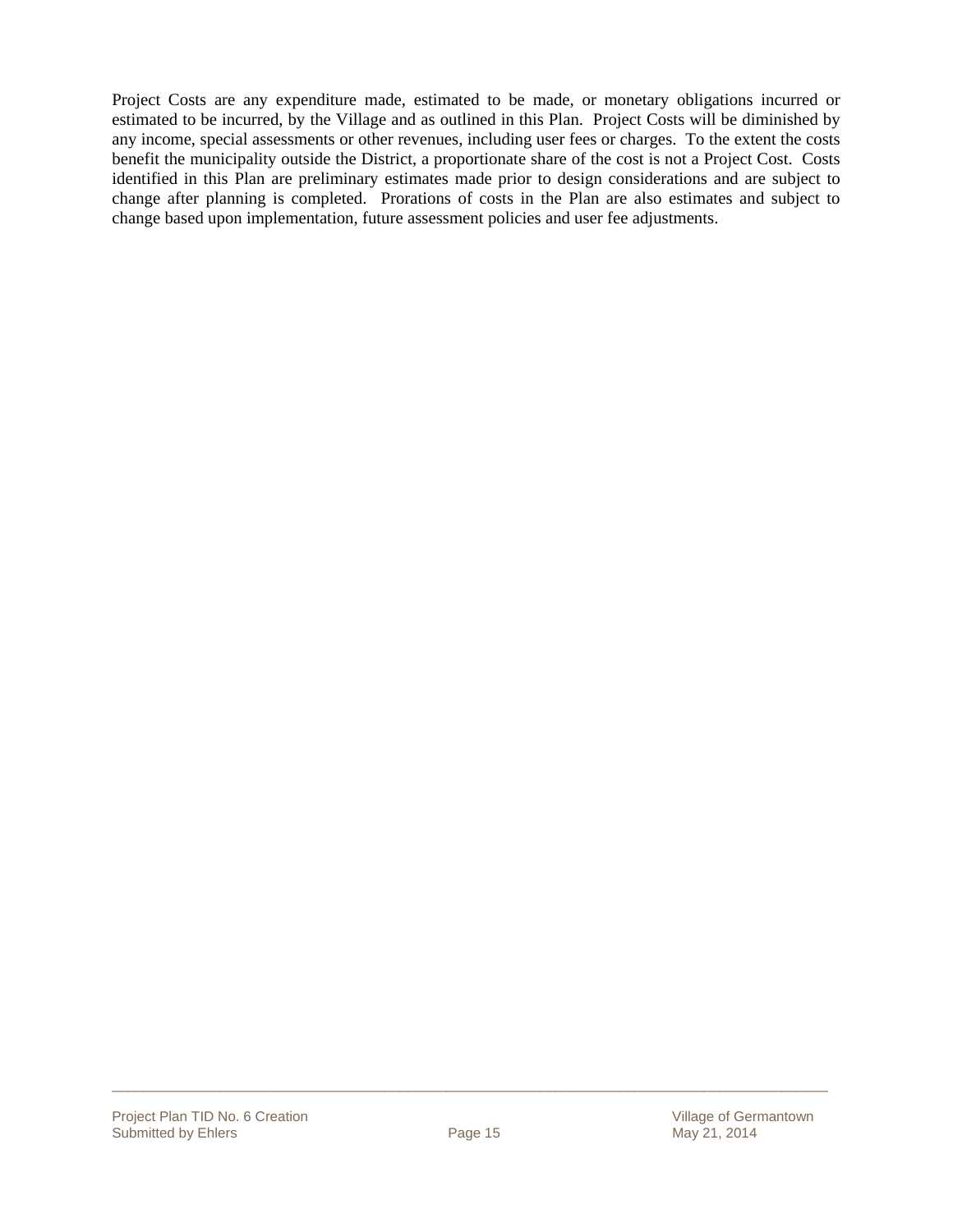Project Costs are any expenditure made, estimated to be made, or monetary obligations incurred or estimated to be incurred, by the Village and as outlined in this Plan. Project Costs will be diminished by any income, special assessments or other revenues, including user fees or charges. To the extent the costs benefit the municipality outside the District, a proportionate share of the cost is not a Project Cost. Costs identified in this Plan are preliminary estimates made prior to design considerations and are subject to change after planning is completed. Prorations of costs in the Plan are also estimates and subject to change based upon implementation, future assessment policies and user fee adjustments.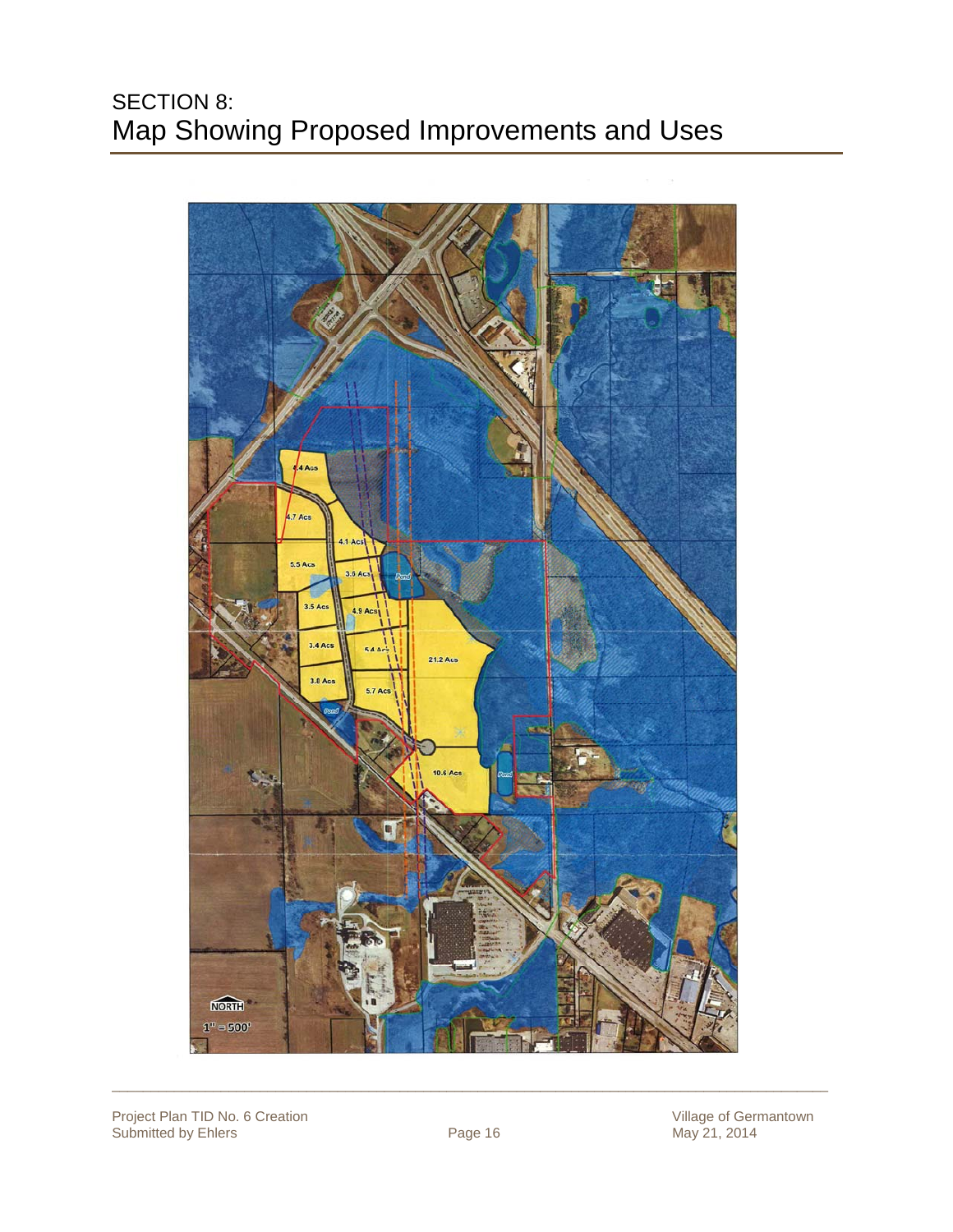### SECTION 8: Map Showing Proposed Improvements and Uses



Project Plan TID No. 6 Creation Village of Germantown Village of Germantown Submitted by Ehlers **Page 16** May 21, 2014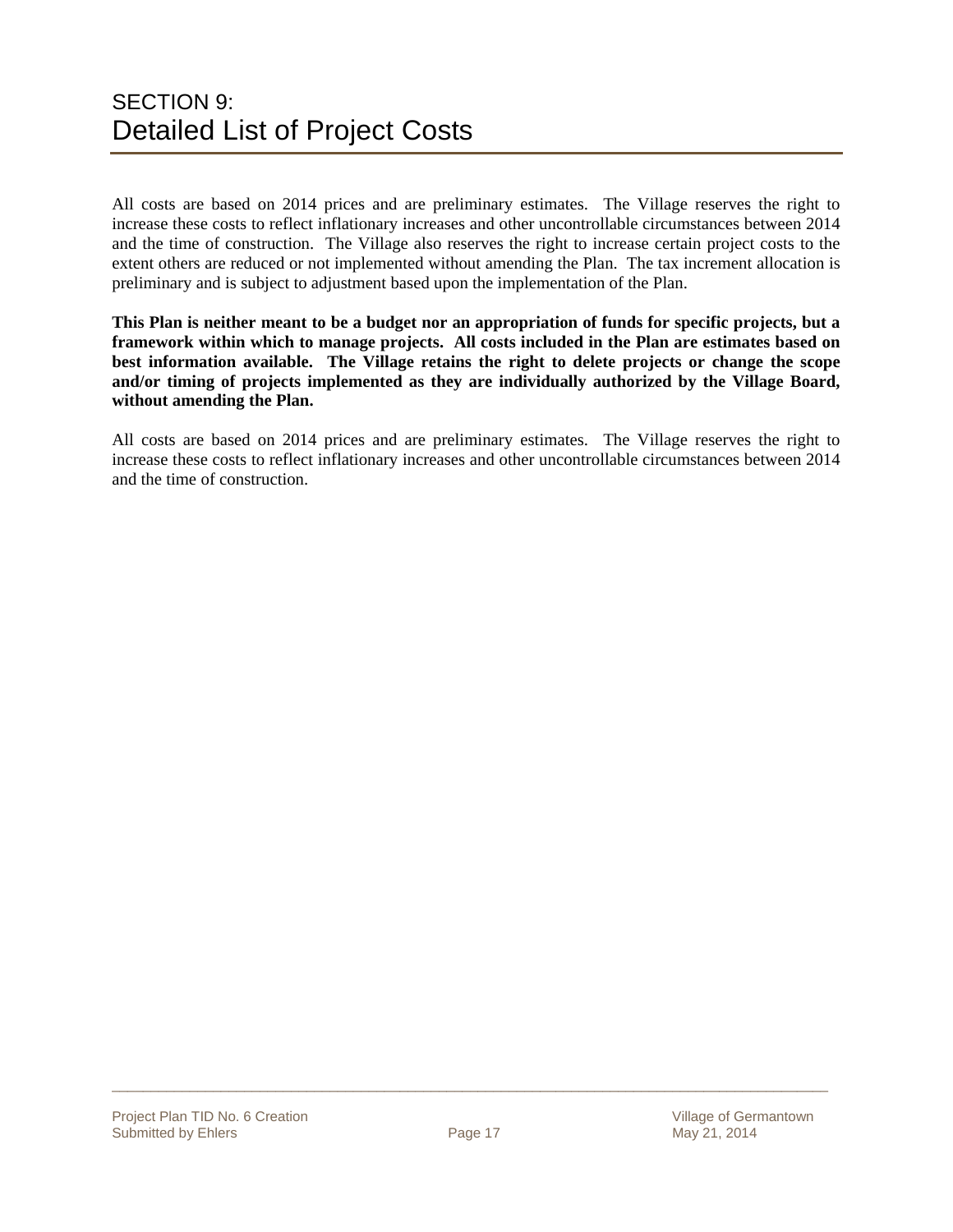### SECTION 9: Detailed List of Project Costs

All costs are based on 2014 prices and are preliminary estimates. The Village reserves the right to increase these costs to reflect inflationary increases and other uncontrollable circumstances between 2014 and the time of construction. The Village also reserves the right to increase certain project costs to the extent others are reduced or not implemented without amending the Plan. The tax increment allocation is preliminary and is subject to adjustment based upon the implementation of the Plan.

**This Plan is neither meant to be a budget nor an appropriation of funds for specific projects, but a framework within which to manage projects. All costs included in the Plan are estimates based on best information available. The Village retains the right to delete projects or change the scope and/or timing of projects implemented as they are individually authorized by the Village Board, without amending the Plan.** 

All costs are based on 2014 prices and are preliminary estimates. The Village reserves the right to increase these costs to reflect inflationary increases and other uncontrollable circumstances between 2014 and the time of construction.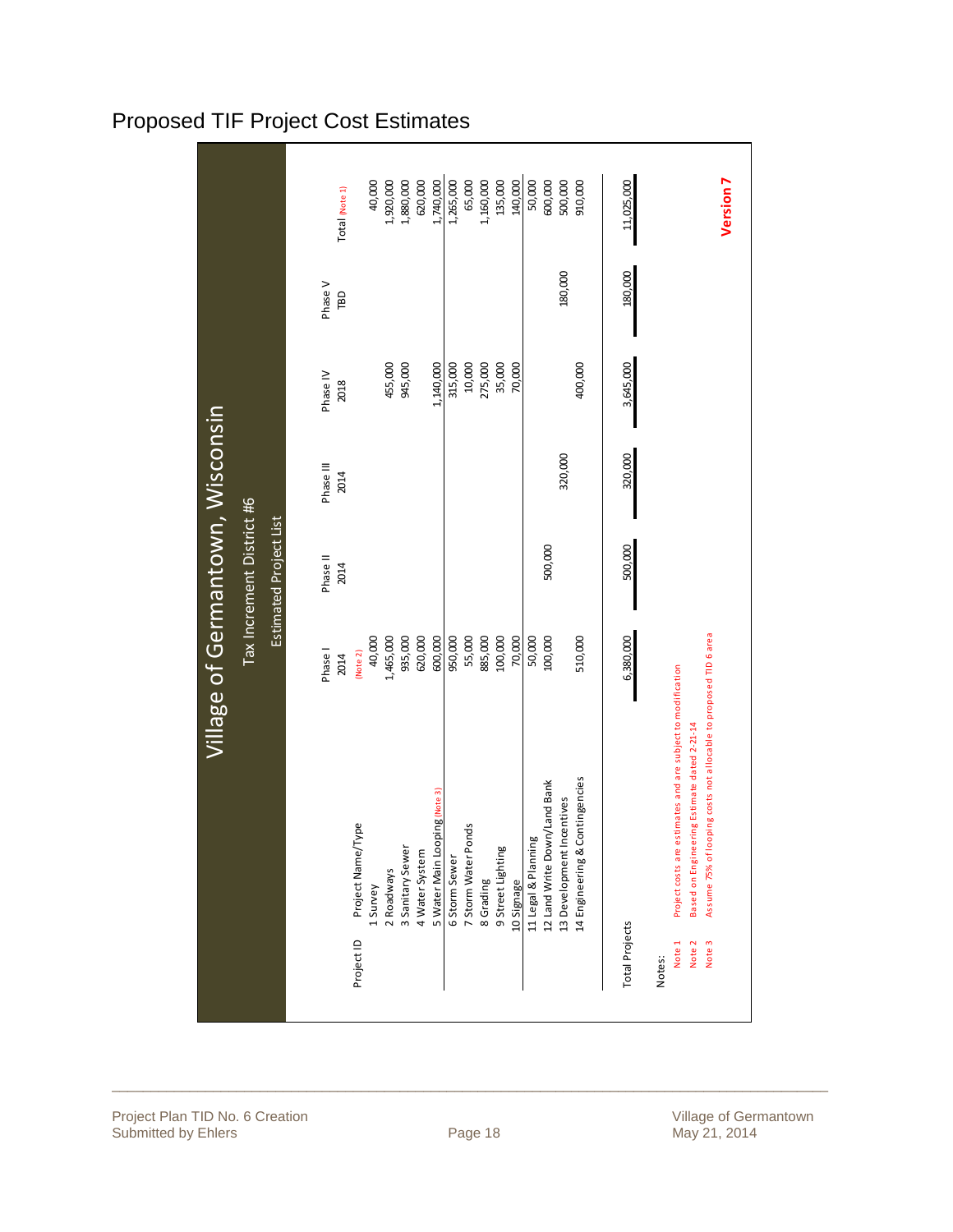|                                  |                                                     | Total (Note 1)    | 1,920,000<br>1,880,000<br>40,000                                                  | 1,740,000<br>620,000                            | 1,265,000<br>65,000<br>1,160,000<br>135,000<br>140,000                               | 600,000<br>50,000<br>500,000<br>910,000                                                                            | Version <sub>7</sub><br>11,025,000                                                                                                                                                                                                              |
|----------------------------------|-----------------------------------------------------|-------------------|-----------------------------------------------------------------------------------|-------------------------------------------------|--------------------------------------------------------------------------------------|--------------------------------------------------------------------------------------------------------------------|-------------------------------------------------------------------------------------------------------------------------------------------------------------------------------------------------------------------------------------------------|
|                                  |                                                     | Phase V<br>TBD    |                                                                                   |                                                 |                                                                                      | 180,000                                                                                                            | 180,000                                                                                                                                                                                                                                         |
|                                  |                                                     | Phase IV<br>2018  | 945,000<br>455,000                                                                | 1,140,000                                       | 10,000<br>275,000<br>35,000<br>315,000<br>70,000                                     | 400,000                                                                                                            | 3,645,000                                                                                                                                                                                                                                       |
| Village of Germantown, Wisconsin |                                                     | Phase III<br>2014 |                                                                                   |                                                 |                                                                                      | 320,000                                                                                                            | 320,000                                                                                                                                                                                                                                         |
|                                  | Tax Increment District #6<br>Estimated Project List | Phase II<br>2014  |                                                                                   |                                                 |                                                                                      | 500,000                                                                                                            | 500,000                                                                                                                                                                                                                                         |
|                                  |                                                     | Phase I<br>2014   | 935,000<br>40,000<br>1,465,000<br>(Note 2)                                        | 620,000<br>600,000                              | 885,000<br>100,000<br>950,000<br>55,000<br>70,000                                    | 510,000<br>50,000<br>100,000                                                                                       | 6,380,000                                                                                                                                                                                                                                       |
|                                  |                                                     |                   | ype<br>Project Name/T<br>3 Sanitary Sewer<br>2 Roadways<br>1 Survey<br>Project ID | 5 Water Main Looping (Note 3)<br>4 Water System | 7 Storm Water Ponds<br>9 Street Lighting<br>6 Storm Sewer<br>10 Signage<br>8 Grading | 14 Engineering & Contingencies<br>12 Land Write Down/Land Bank<br>13 Development Incentives<br>11 Legal & Planning | Assume 75% of looping costs not allocable to proposed TID 6 area<br>Project costs are estimates and are subject to modification<br>Based on Engineering Estimate dated 2-21-14<br><b>Total Projects</b><br>Note 1<br>Note 2<br>Note 3<br>Notes: |

### Proposed TIF Project Cost Estimates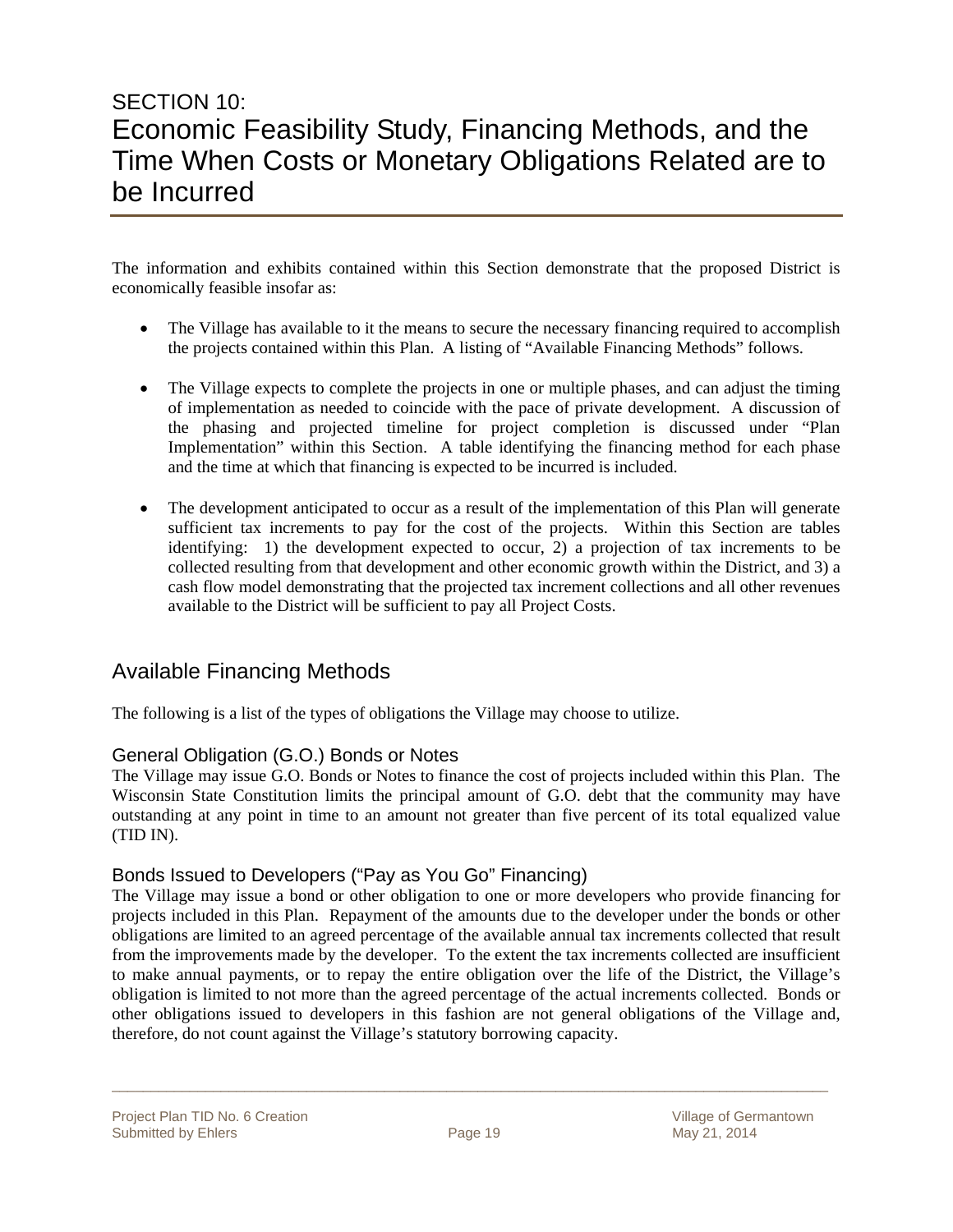### SECTION 10: Economic Feasibility Study, Financing Methods, and the Time When Costs or Monetary Obligations Related are to be Incurred

The information and exhibits contained within this Section demonstrate that the proposed District is economically feasible insofar as:

- The Village has available to it the means to secure the necessary financing required to accomplish the projects contained within this Plan. A listing of "Available Financing Methods" follows.
- The Village expects to complete the projects in one or multiple phases, and can adjust the timing of implementation as needed to coincide with the pace of private development. A discussion of the phasing and projected timeline for project completion is discussed under "Plan Implementation" within this Section. A table identifying the financing method for each phase and the time at which that financing is expected to be incurred is included.
- The development anticipated to occur as a result of the implementation of this Plan will generate sufficient tax increments to pay for the cost of the projects. Within this Section are tables identifying: 1) the development expected to occur, 2) a projection of tax increments to be collected resulting from that development and other economic growth within the District, and 3) a cash flow model demonstrating that the projected tax increment collections and all other revenues available to the District will be sufficient to pay all Project Costs.

### Available Financing Methods

The following is a list of the types of obligations the Village may choose to utilize.

#### General Obligation (G.O.) Bonds or Notes

The Village may issue G.O. Bonds or Notes to finance the cost of projects included within this Plan. The Wisconsin State Constitution limits the principal amount of G.O. debt that the community may have outstanding at any point in time to an amount not greater than five percent of its total equalized value (TID IN).

#### Bonds Issued to Developers ("Pay as You Go" Financing)

The Village may issue a bond or other obligation to one or more developers who provide financing for projects included in this Plan. Repayment of the amounts due to the developer under the bonds or other obligations are limited to an agreed percentage of the available annual tax increments collected that result from the improvements made by the developer. To the extent the tax increments collected are insufficient to make annual payments, or to repay the entire obligation over the life of the District, the Village's obligation is limited to not more than the agreed percentage of the actual increments collected. Bonds or other obligations issued to developers in this fashion are not general obligations of the Village and, therefore, do not count against the Village's statutory borrowing capacity.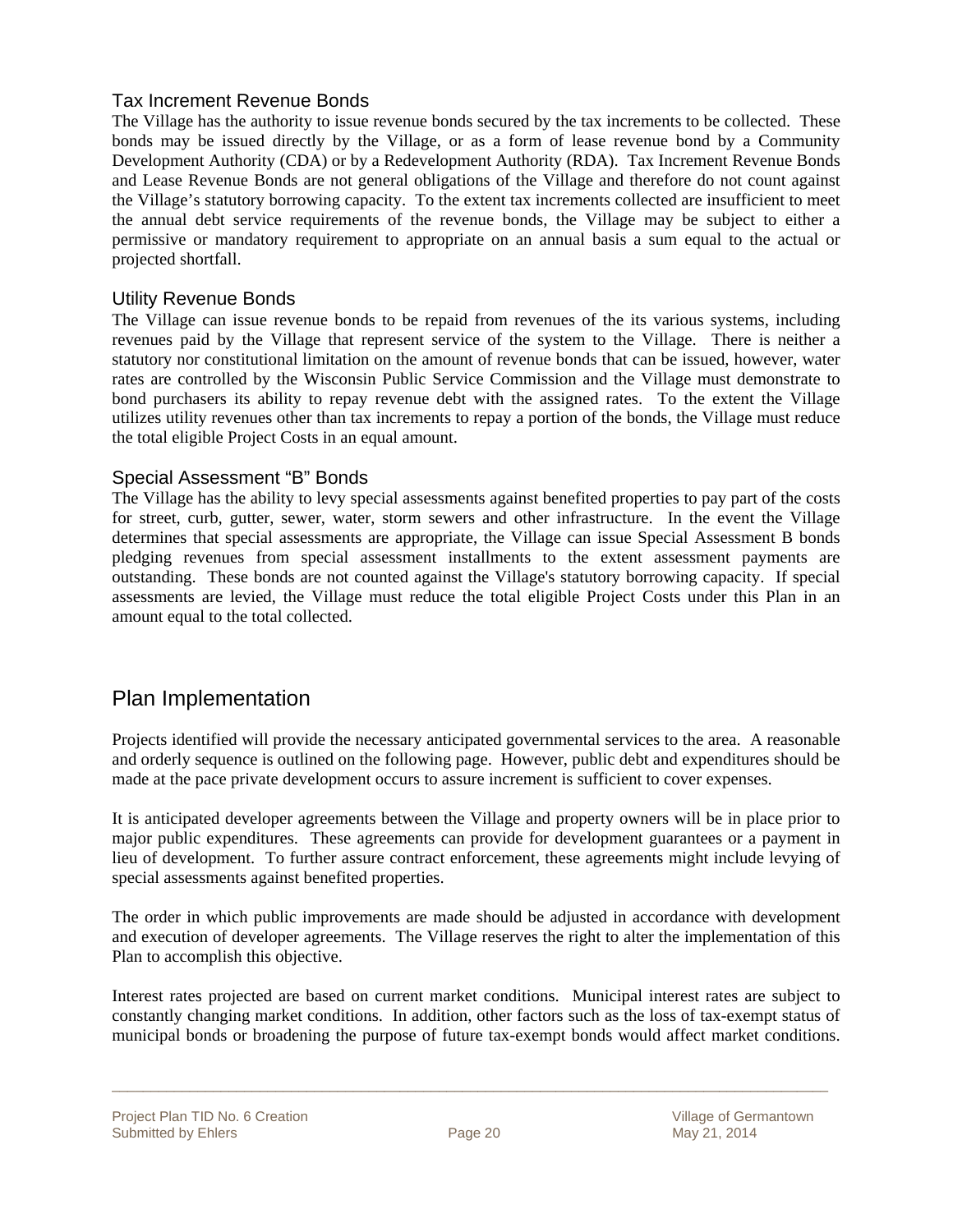#### Tax Increment Revenue Bonds

The Village has the authority to issue revenue bonds secured by the tax increments to be collected. These bonds may be issued directly by the Village, or as a form of lease revenue bond by a Community Development Authority (CDA) or by a Redevelopment Authority (RDA). Tax Increment Revenue Bonds and Lease Revenue Bonds are not general obligations of the Village and therefore do not count against the Village's statutory borrowing capacity. To the extent tax increments collected are insufficient to meet the annual debt service requirements of the revenue bonds, the Village may be subject to either a permissive or mandatory requirement to appropriate on an annual basis a sum equal to the actual or projected shortfall.

#### Utility Revenue Bonds

The Village can issue revenue bonds to be repaid from revenues of the its various systems, including revenues paid by the Village that represent service of the system to the Village. There is neither a statutory nor constitutional limitation on the amount of revenue bonds that can be issued, however, water rates are controlled by the Wisconsin Public Service Commission and the Village must demonstrate to bond purchasers its ability to repay revenue debt with the assigned rates. To the extent the Village utilizes utility revenues other than tax increments to repay a portion of the bonds, the Village must reduce the total eligible Project Costs in an equal amount.

#### Special Assessment "B" Bonds

The Village has the ability to levy special assessments against benefited properties to pay part of the costs for street, curb, gutter, sewer, water, storm sewers and other infrastructure. In the event the Village determines that special assessments are appropriate, the Village can issue Special Assessment B bonds pledging revenues from special assessment installments to the extent assessment payments are outstanding. These bonds are not counted against the Village's statutory borrowing capacity. If special assessments are levied, the Village must reduce the total eligible Project Costs under this Plan in an amount equal to the total collected.

### Plan Implementation

Projects identified will provide the necessary anticipated governmental services to the area. A reasonable and orderly sequence is outlined on the following page. However, public debt and expenditures should be made at the pace private development occurs to assure increment is sufficient to cover expenses.

It is anticipated developer agreements between the Village and property owners will be in place prior to major public expenditures. These agreements can provide for development guarantees or a payment in lieu of development. To further assure contract enforcement, these agreements might include levying of special assessments against benefited properties.

The order in which public improvements are made should be adjusted in accordance with development and execution of developer agreements. The Village reserves the right to alter the implementation of this Plan to accomplish this objective.

Interest rates projected are based on current market conditions. Municipal interest rates are subject to constantly changing market conditions. In addition, other factors such as the loss of tax-exempt status of municipal bonds or broadening the purpose of future tax-exempt bonds would affect market conditions.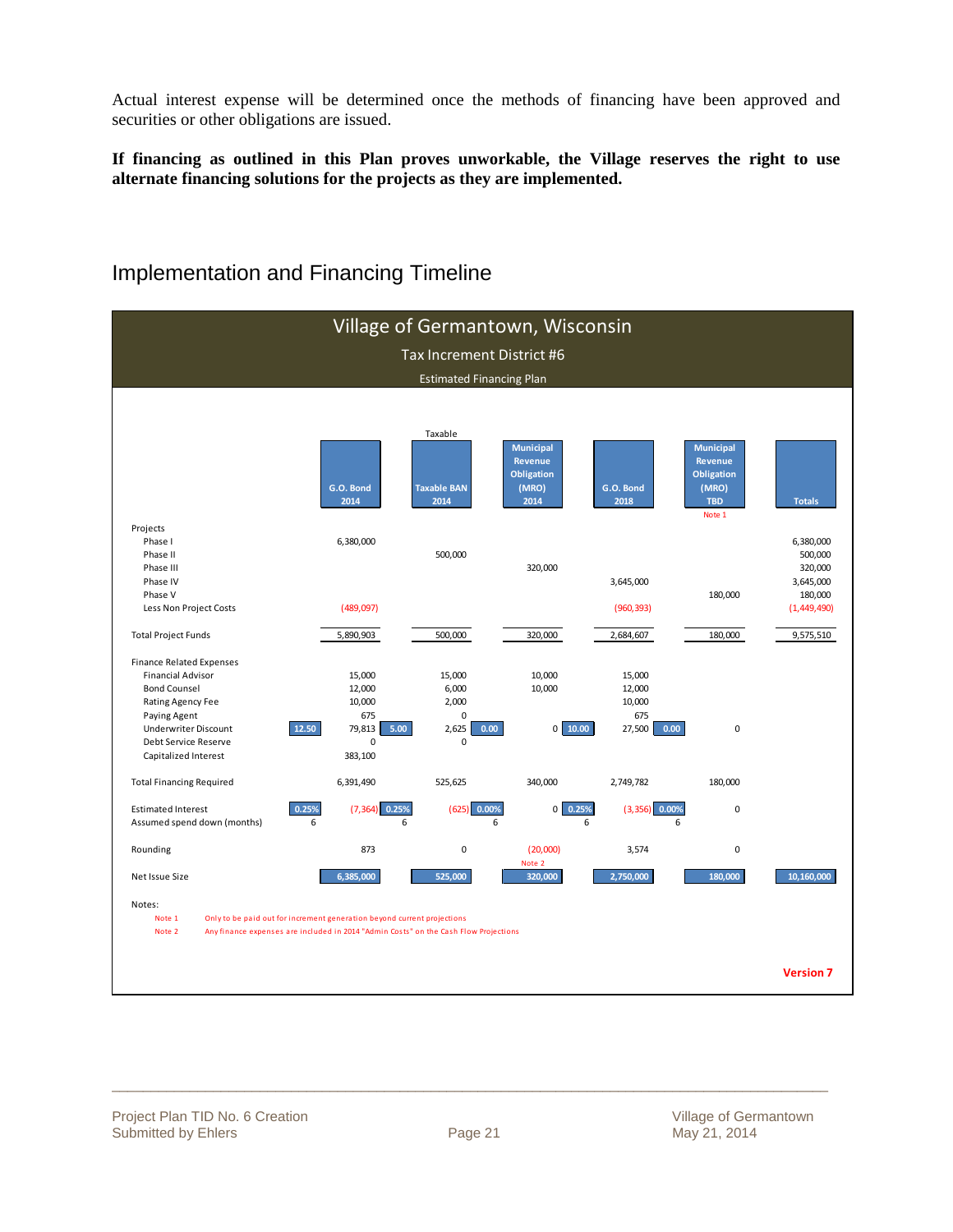Actual interest expense will be determined once the methods of financing have been approved and securities or other obligations are issued.

**If financing as outlined in this Plan proves unworkable, the Village reserves the right to use alternate financing solutions for the projects as they are implemented.** 



### Implementation and Financing Timeline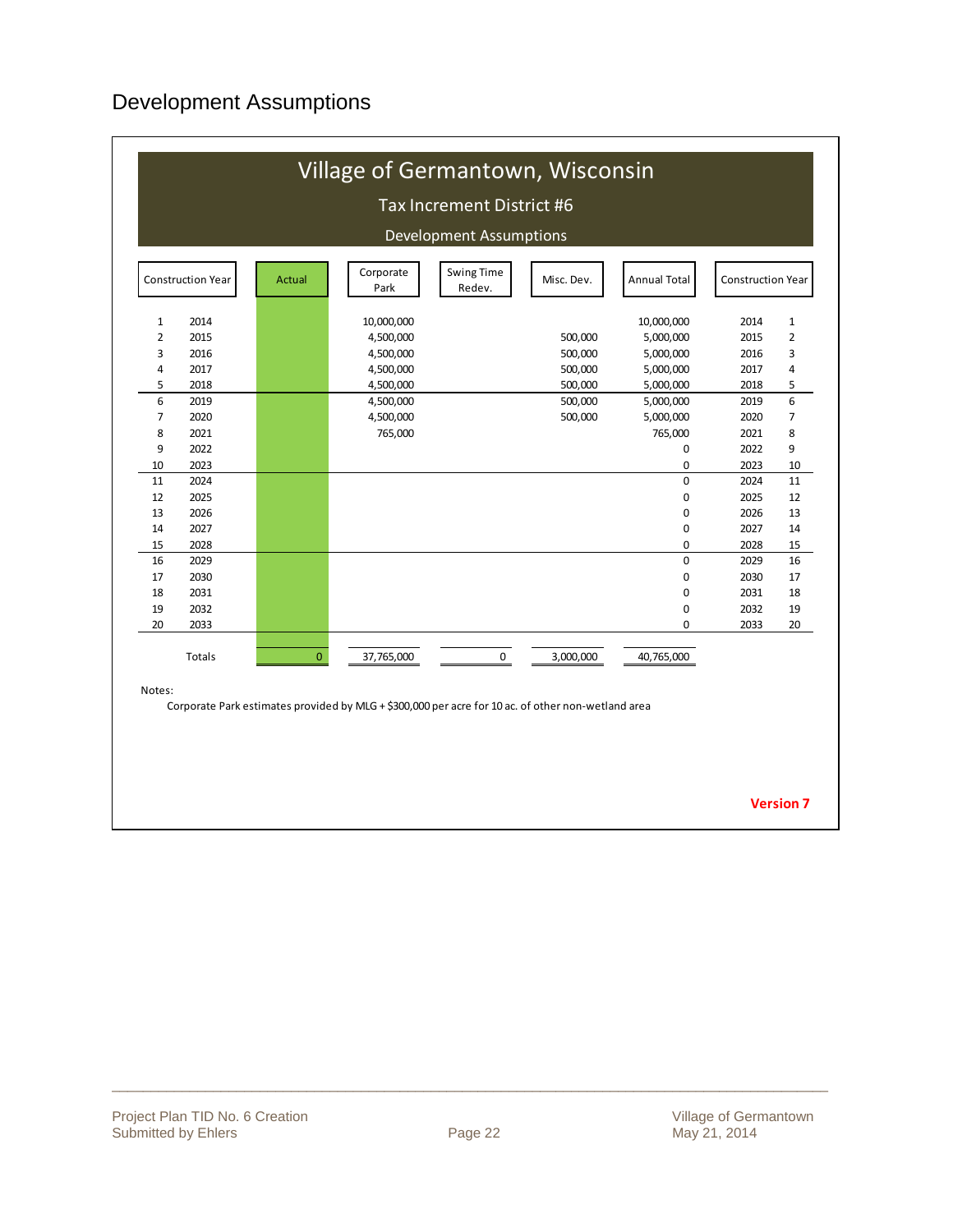### Development Assumptions

|                | Construction Year | Actual         | Corporate<br>Park | <b>Swing Time</b><br>Redev. | Misc. Dev. | <b>Annual Total</b> | <b>Construction Year</b> |                |
|----------------|-------------------|----------------|-------------------|-----------------------------|------------|---------------------|--------------------------|----------------|
| $\mathbf{1}$   | 2014              |                | 10,000,000        |                             |            | 10,000,000          | 2014                     | 1              |
| $\overline{2}$ | 2015              |                | 4,500,000         |                             | 500,000    | 5,000,000           | 2015                     | $\overline{2}$ |
| 3              | 2016              |                | 4,500,000         |                             | 500,000    | 5,000,000           | 2016                     | 3              |
| 4              | 2017              |                | 4,500,000         |                             | 500,000    | 5,000,000           | 2017                     | $\overline{4}$ |
| 5              | 2018              |                | 4,500,000         |                             | 500,000    | 5,000,000           | 2018                     | 5              |
| 6              | 2019              |                | 4,500,000         |                             | 500,000    | 5,000,000           | 2019                     | 6              |
| $\overline{7}$ | 2020              |                | 4,500,000         |                             | 500,000    | 5,000,000           | 2020                     | $\overline{7}$ |
| 8              | 2021              |                | 765,000           |                             |            | 765,000             | 2021                     | 8              |
| 9              | 2022              |                |                   |                             |            | 0                   | 2022                     | 9              |
| 10             | 2023              |                |                   |                             |            | 0                   | 2023                     | 10             |
| 11             | 2024              |                |                   |                             |            | $\overline{0}$      | 2024                     | 11             |
| 12             | 2025              |                |                   |                             |            | 0                   | 2025                     | 12             |
| 13             | 2026              |                |                   |                             |            | $\pmb{0}$           | 2026                     | 13             |
| 14             | 2027              |                |                   |                             |            | 0                   | 2027                     | 14             |
| 15             | 2028              |                |                   |                             |            | 0                   | 2028                     | 15             |
| 16             | 2029              |                |                   |                             |            | $\pmb{0}$           | 2029                     | 16             |
| 17             | 2030              |                |                   |                             |            | 0                   | 2030                     | 17             |
| 18             | 2031              |                |                   |                             |            | 0                   | 2031                     | 18             |
| 19             | 2032              |                |                   |                             |            | 0                   | 2032                     | 19             |
| 20             | 2033              |                |                   |                             |            | 0                   | 2033                     | 20             |
|                | Totals            | $\overline{0}$ | 37,765,000        | $\mathbf 0$                 | 3,000,000  | 40,765,000          |                          |                |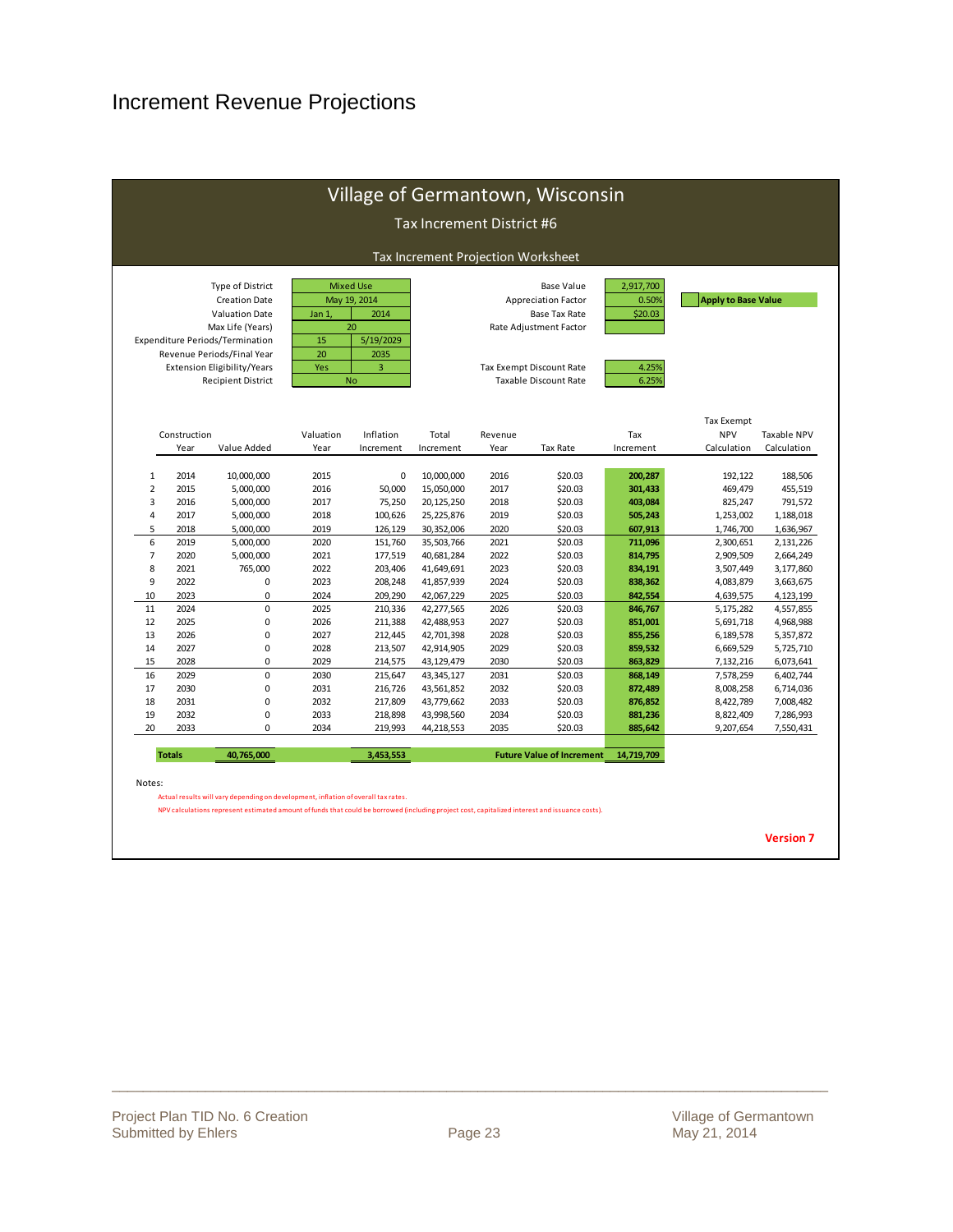### Increment Revenue Projections

| Tax Increment Projection Worksheet<br><b>Type of District</b><br><b>Mixed Use</b><br><b>Base Value</b> |                                                |                                                 |                                                                                                                                          |                 |                    |                                                   |                                           |                                                                                                                                                                                                       |                      |                |  |  |  |  |
|--------------------------------------------------------------------------------------------------------|------------------------------------------------|-------------------------------------------------|------------------------------------------------------------------------------------------------------------------------------------------|-----------------|--------------------|---------------------------------------------------|-------------------------------------------|-------------------------------------------------------------------------------------------------------------------------------------------------------------------------------------------------------|----------------------|----------------|--|--|--|--|
|                                                                                                        | <b>Apply to Base Value</b>                     | 2,917,700<br>0.50%<br>\$20.03<br>4.25%<br>6.25% | <b>Appreciation Factor</b><br><b>Base Tax Rate</b><br>Rate Adjustment Factor<br>Tax Exempt Discount Rate<br><b>Taxable Discount Rate</b> |                 |                    | 2014<br>20<br>5/19/2029<br>2035<br>3<br><b>No</b> | May 19, 2014<br>Jan 1,<br>15<br>20<br>Yes | <b>Creation Date</b><br><b>Valuation Date</b><br>Max Life (Years)<br>Expenditure Periods/Termination<br>Revenue Periods/Final Year<br><b>Extension Eligibility/Years</b><br><b>Recipient District</b> |                      |                |  |  |  |  |
| Taxable NPV<br>Calculation                                                                             | <b>Tax Exempt</b><br><b>NPV</b><br>Calculation | Tax<br>Increment                                | Tax Rate                                                                                                                                 | Revenue<br>Year | Total<br>Increment | Inflation<br>Increment                            | Valuation<br>Year                         | Value Added                                                                                                                                                                                           | Construction<br>Year |                |  |  |  |  |
| 188,506                                                                                                | 192,122                                        | 200,287                                         | \$20.03                                                                                                                                  | 2016            | 10,000,000         | 0                                                 | 2015                                      | 10,000,000                                                                                                                                                                                            | 2014                 | $\mathbf{1}$   |  |  |  |  |
| 455,519                                                                                                | 469,479                                        | 301,433                                         | \$20.03                                                                                                                                  | 2017            | 15,050,000         | 50,000                                            | 2016                                      | 5,000,000                                                                                                                                                                                             | 2015                 | $\overline{2}$ |  |  |  |  |
| 791,572                                                                                                | 825,247                                        | 403,084                                         | \$20.03                                                                                                                                  | 2018            | 20,125,250         | 75,250                                            | 2017                                      | 5,000,000                                                                                                                                                                                             | 2016                 | 3              |  |  |  |  |
| 1,188,018                                                                                              | 1,253,002                                      | 505,243                                         | \$20.03                                                                                                                                  | 2019            | 25,225,876         | 100,626                                           | 2018                                      | 5,000,000                                                                                                                                                                                             | 2017                 | 4              |  |  |  |  |
| 1,636,967                                                                                              | 1,746,700                                      | 607,913                                         | \$20.03                                                                                                                                  | 2020            | 30,352,006         | 126,129                                           | 2019                                      | 5,000,000                                                                                                                                                                                             | 2018                 | 5              |  |  |  |  |
| 2,131,226                                                                                              | 2,300,651                                      | 711,096                                         | \$20.03                                                                                                                                  | 2021            | 35,503,766         | 151,760                                           | 2020                                      | 5,000,000                                                                                                                                                                                             | 2019                 | 6              |  |  |  |  |
| 2,664,249                                                                                              | 2,909,509                                      | 814,795                                         | \$20.03                                                                                                                                  | 2022            | 40,681,284         | 177,519                                           | 2021                                      | 5,000,000                                                                                                                                                                                             | 2020                 | $\overline{7}$ |  |  |  |  |
| 3,177,860                                                                                              | 3,507,449                                      | 834,191                                         | \$20.03                                                                                                                                  | 2023            | 41,649,691         | 203,406                                           | 2022                                      | 765,000                                                                                                                                                                                               | 2021                 | 8              |  |  |  |  |
| 3,663,675                                                                                              | 4,083,879                                      | 838,362                                         | \$20.03                                                                                                                                  | 2024            | 41,857,939         | 208,248                                           | 2023                                      | 0                                                                                                                                                                                                     | 2022                 | 9              |  |  |  |  |
| 4,123,199                                                                                              | 4,639,575                                      | 842,554                                         | \$20.03                                                                                                                                  | 2025            | 42,067,229         | 209,290                                           | 2024                                      | 0                                                                                                                                                                                                     | 2023                 | 10             |  |  |  |  |
| 4,557,855                                                                                              | 5,175,282                                      | 846,767                                         | \$20.03                                                                                                                                  | 2026            | 42,277,565         | 210,336                                           | 2025                                      | $\mathbf 0$                                                                                                                                                                                           | 2024                 | 11             |  |  |  |  |
| 4,968,988                                                                                              | 5,691,718                                      | 851,001                                         | \$20.03                                                                                                                                  | 2027            | 42,488,953         | 211,388                                           | 2026                                      | $\mathbf 0$                                                                                                                                                                                           | 2025                 | 12             |  |  |  |  |
| 5,357,872                                                                                              | 6,189,578                                      | 855,256                                         | \$20.03                                                                                                                                  | 2028            | 42,701,398         | 212,445                                           | 2027                                      | $\mathbf 0$                                                                                                                                                                                           | 2026                 | 13             |  |  |  |  |
| 5,725,710                                                                                              | 6,669,529                                      | 859,532                                         | \$20.03                                                                                                                                  | 2029            | 42,914,905         | 213,507                                           | 2028                                      | $\mathbf 0$                                                                                                                                                                                           | 2027                 | 14             |  |  |  |  |
| 6,073,641                                                                                              | 7,132,216                                      | 863,829                                         | \$20.03                                                                                                                                  | 2030            | 43,129,479         | 214,575                                           | 2029                                      | $\mathbf 0$                                                                                                                                                                                           | 2028                 | 15             |  |  |  |  |
| 6,402,744                                                                                              | 7,578,259                                      | 868,149                                         | \$20.03                                                                                                                                  | 2031            | 43, 345, 127       | 215,647                                           | 2030                                      | $\mathbf 0$                                                                                                                                                                                           | 2029                 | 16             |  |  |  |  |
| 6,714,036                                                                                              | 8,008,258                                      | 872,489                                         | \$20.03                                                                                                                                  | 2032            | 43,561,852         | 216,726                                           | 2031                                      | $\bf 0$                                                                                                                                                                                               | 2030                 | 17             |  |  |  |  |
| 7,008,482                                                                                              | 8,422,789                                      | 876,852                                         | \$20.03                                                                                                                                  | 2033            | 43,779,662         | 217,809                                           | 2032                                      | $\pmb{0}$                                                                                                                                                                                             | 2031                 | 18             |  |  |  |  |
| 7,286,993                                                                                              | 8,822,409                                      | 881,236                                         | \$20.03                                                                                                                                  | 2034            | 43,998,560         | 218,898                                           | 2033                                      | $\mathbf 0$                                                                                                                                                                                           | 2032                 | 19             |  |  |  |  |
| 7,550,431                                                                                              | 9,207,654                                      | 885,642                                         | \$20.03                                                                                                                                  | 2035            | 44,218,553         | 219,993                                           | 2034                                      | $\Omega$                                                                                                                                                                                              | 2033                 | 20             |  |  |  |  |
|                                                                                                        |                                                | 14,719,709                                      | <b>Future Value of Increment</b>                                                                                                         |                 |                    | 3,453,553                                         |                                           | 40,765,000                                                                                                                                                                                            | <b>Totals</b>        |                |  |  |  |  |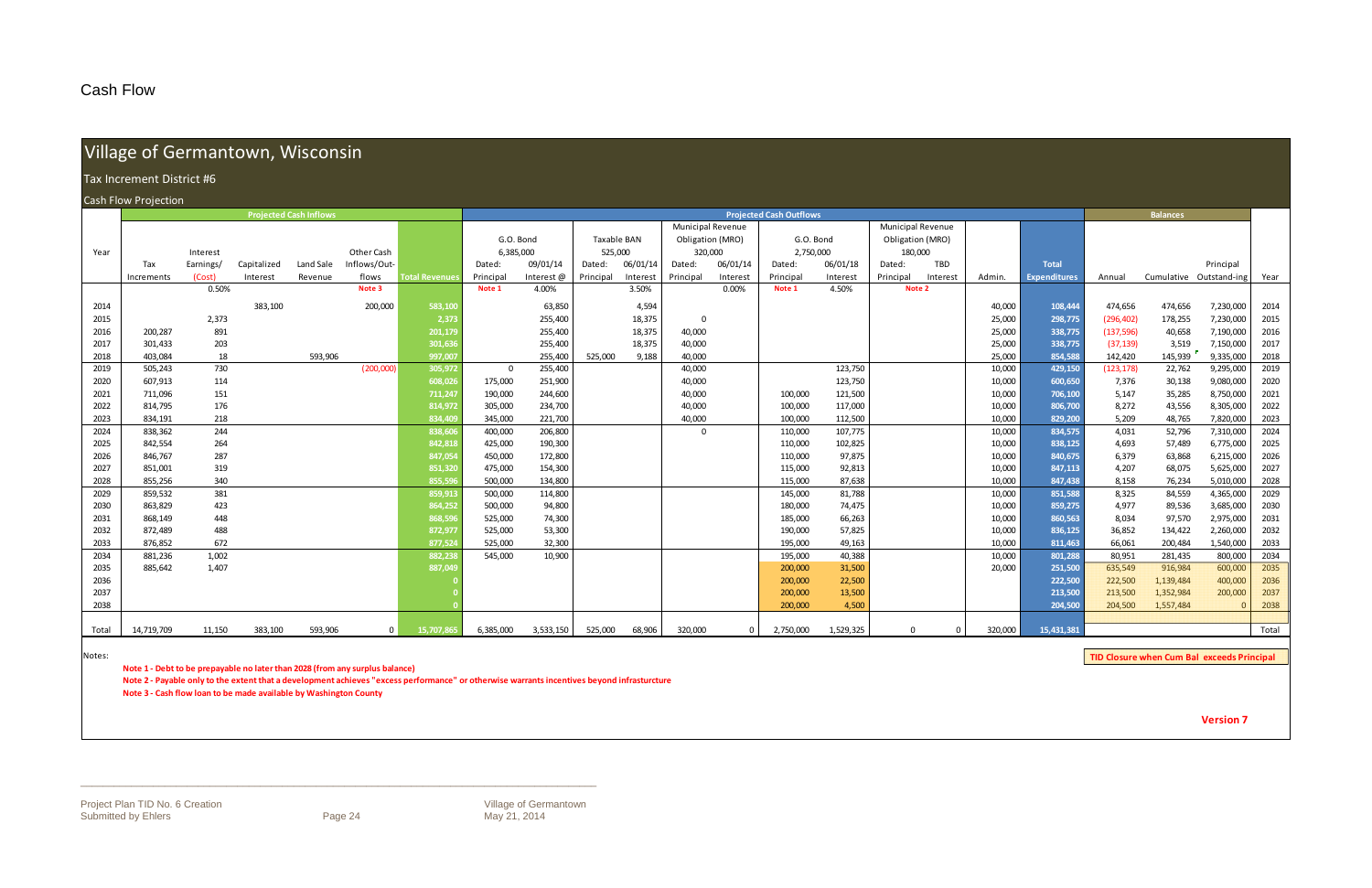### Cash Flow

# Village of Germantown, Wisconsin

#### h Flow w Projection

|       | Tax Increment District #6 |           |             |                               |              |                      |                |           |             |          |                          |          |                                |           |                          |          |         |                     |            |                         |           |       |
|-------|---------------------------|-----------|-------------|-------------------------------|--------------|----------------------|----------------|-----------|-------------|----------|--------------------------|----------|--------------------------------|-----------|--------------------------|----------|---------|---------------------|------------|-------------------------|-----------|-------|
|       | Cash Flow Projection      |           |             |                               |              |                      |                |           |             |          |                          |          |                                |           |                          |          |         |                     |            |                         |           |       |
|       |                           |           |             | <b>Projected Cash Inflows</b> |              |                      |                |           |             |          |                          |          | <b>Projected Cash Outflows</b> |           |                          |          |         |                     |            | <b>Balances</b>         |           |       |
|       |                           |           |             |                               |              |                      |                |           |             |          | <b>Municipal Revenue</b> |          |                                |           | <b>Municipal Revenue</b> |          |         |                     |            |                         |           |       |
|       |                           |           |             |                               |              |                      | G.O. Bond      |           | Taxable BAN |          | Obligation (MRO)         |          | G.O. Bond                      |           | Obligation (MRO)         |          |         |                     |            |                         |           |       |
| Year  |                           | Interest  |             |                               | Other Cash   |                      | 6,385,000      |           | 525,000     |          | 320,000                  |          | 2,750,000                      |           | 180,000                  |          |         |                     |            |                         |           |       |
|       | Tax                       | Earnings/ | Capitalized | Land Sale                     | Inflows/Out- |                      | Dated:         | 09/01/14  | Dated:      | 06/01/14 | Dated:                   | 06/01/14 | Dated:                         | 06/01/18  | Dated:                   | TBD      |         | <b>Total</b>        |            |                         | Principal |       |
|       | Increments                | (Cost)    | Interest    | Revenue                       | flows        | <b>Total Revenue</b> | Principal      | Interest@ | Principal   | Interest | Principal                | Interest | Principal                      | Interest  | Principal                | Interest | Admin.  | <b>Expenditures</b> | Annual     | Cumulative Outstand-ing |           | Year  |
|       |                           | 0.50%     |             |                               | Note 3       |                      | Note 1         | 4.00%     |             | 3.50%    |                          | 0.00%    | Note 1                         | 4.50%     | Note 2                   |          |         |                     |            |                         |           |       |
| 2014  |                           |           | 383,100     |                               | 200,000      | 583,100              |                | 63,850    |             | 4,594    |                          |          |                                |           |                          |          | 40,000  | 108,444             | 474,656    | 474,656                 | 7,230,000 | 2014  |
| 2015  |                           | 2,373     |             |                               |              | 2,373                |                | 255,400   |             | 18,375   | $\Omega$                 |          |                                |           |                          |          | 25,000  | 298,775             | (296, 402) | 178,255                 | 7,230,000 | 2015  |
| 2016  | 200,287                   | 891       |             |                               |              | 201,179              |                | 255,400   |             | 18,375   | 40,000                   |          |                                |           |                          |          | 25,000  | 338,775             | (137, 596) | 40,658                  | 7,190,000 | 2016  |
| 2017  | 301,433                   | 203       |             |                               |              | 301,63               |                | 255,400   |             | 18,375   | 40,000                   |          |                                |           |                          |          | 25,000  | 338,775             | (37, 139)  | 3,519                   | 7,150,000 | 2017  |
| 2018  | 403,084                   | 18        |             | 593,906                       |              | 997,007              |                | 255,400   | 525,000     | 9,188    | 40,000                   |          |                                |           |                          |          | 25,000  | 854,588             | 142,420    | 145,939                 | 9,335,000 | 2018  |
| 2019  | 505,243                   | 730       |             |                               | (200,000)    | 305,972              | $\overline{0}$ | 255,400   |             |          | 40,000                   |          |                                | 123,750   |                          |          | 10,000  | 429,150             | (123, 178) | 22,762                  | 9,295,000 | 2019  |
| 2020  | 607,913                   | 114       |             |                               |              | 608,02               | 175,000        | 251,900   |             |          | 40,000                   |          |                                | 123,750   |                          |          | 10,000  | 600.650             | 7,376      | 30,138                  | 9,080,000 | 2020  |
| 2021  | 711,096                   | 151       |             |                               |              | 711,247              | 190,000        | 244,600   |             |          | 40,000                   |          | 100,000                        | 121,500   |                          |          | 10,000  | 706,100             | 5,147      | 35,285                  | 8,750,000 | 2021  |
| 2022  | 814,795                   | 176       |             |                               |              | 814,972              | 305,000        | 234,700   |             |          | 40,000                   |          | 100,000                        | 117,000   |                          |          | 10,000  | 806,700             | 8,272      | 43,556                  | 8,305,000 | 2022  |
| 2023  | 834,191                   | 218       |             |                               |              | 834,409              | 345,000        | 221,700   |             |          | 40,000                   |          | 100,000                        | 112,500   |                          |          | 10,000  | 829,200             | 5,209      | 48,765                  | 7,820,000 | 2023  |
| 2024  | 838,362                   | 244       |             |                               |              | 838,606              | 400,000        | 206,800   |             |          | $\Omega$                 |          | 110,000                        | 107,775   |                          |          | 10,000  | 834,575             | 4,031      | 52,796                  | 7,310,000 | 2024  |
| 2025  | 842,554                   | 264       |             |                               |              | 842,818              | 425,000        | 190,300   |             |          |                          |          | 110,000                        | 102,825   |                          |          | 10,000  | 838,125             | 4,693      | 57,489                  | 6,775,000 | 2025  |
| 2026  | 846,767                   | 287       |             |                               |              | 847,054              | 450,000        | 172,800   |             |          |                          |          | 110,000                        | 97,875    |                          |          | 10,000  | 840,675             | 6,379      | 63,868                  | 6,215,000 | 2026  |
| 2027  | 851,001                   | 319       |             |                               |              | 851,32               | 475,000        | 154,300   |             |          |                          |          | 115,000                        | 92,813    |                          |          | 10,000  | 847,113             | 4,207      | 68,075                  | 5,625,000 | 2027  |
| 2028  | 855,256                   | 340       |             |                               |              | 855.59               | 500,000        | 134,800   |             |          |                          |          | 115,000                        | 87,638    |                          |          | 10,000  | 847,438             | 8,158      | 76,234                  | 5,010,000 | 2028  |
| 2029  | 859,532                   | 381       |             |                               |              | 859,913              | 500,000        | 114,800   |             |          |                          |          | 145,000                        | 81,788    |                          |          | 10,000  | 851,588             | 8,325      | 84,559                  | 4,365,000 | 2029  |
| 2030  | 863,829                   | 423       |             |                               |              | 864,252              | 500,000        | 94,800    |             |          |                          |          | 180,000                        | 74,475    |                          |          | 10,000  | 859,275             | 4,977      | 89,536                  | 3,685,000 | 2030  |
| 2031  | 868,149                   | 448       |             |                               |              | 868,59               | 525,000        | 74,300    |             |          |                          |          | 185,000                        | 66,263    |                          |          | 10,000  | 860,563             | 8,034      | 97,570                  | 2,975,000 | 2031  |
| 2032  | 872,489                   | 488       |             |                               |              | 872,977              | 525,000        | 53,300    |             |          |                          |          | 190,000                        | 57,825    |                          |          | 10,000  | 836,125             | 36,852     | 134,422                 | 2,260,000 | 2032  |
| 2033  | 876,852                   | 672       |             |                               |              | 877,52               | 525,000        | 32,300    |             |          |                          |          | 195,000                        | 49,163    |                          |          | 10,000  | 811,463             | 66,061     | 200,484                 | 1,540,000 | 2033  |
| 2034  | 881,236                   | 1,002     |             |                               |              | 882,23               | 545,000        | 10,900    |             |          |                          |          | 195,000                        | 40,388    |                          |          | 10,000  | 801,288             | 80,951     | 281,435                 | 800,000   | 2034  |
| 2035  | 885,642                   | 1,407     |             |                               |              | 887,04               |                |           |             |          |                          |          | 200,000                        | 31,500    |                          |          | 20,000  | 251,500             | 635,549    | 916,984                 | 600,000   | 2035  |
| 2036  |                           |           |             |                               |              |                      |                |           |             |          |                          |          | 200,000                        | 22,500    |                          |          |         | 222,500             | 222,500    | 1,139,484               | 400,000   | 2036  |
| 2037  |                           |           |             |                               |              |                      |                |           |             |          |                          |          | 200,000                        | 13,500    |                          |          |         | 213,500             | 213,500    | 1,352,984               | 200,000   | 2037  |
| 2038  |                           |           |             |                               |              |                      |                |           |             |          |                          |          | 200,000                        | 4,500     |                          |          |         | 204,500             | 204,500    | 1,557,484               | $\Omega$  | 2038  |
| Total | 14,719,709                | 11,150    | 383,100     | 593,906                       | $\Omega$     | 15,707,8             | 6,385,000      | 3,533,150 | 525,000     | 68,906   | 320,000                  | $\Omega$ | 2,750,000                      | 1,529,325 | $\Omega$                 | $\Omega$ | 320.000 | 15.431.381          |            |                         |           | Total |
|       |                           |           |             |                               |              |                      |                |           |             |          |                          |          |                                |           |                          |          |         |                     |            |                         |           |       |

Notes:

**Note 1 ‐ Debt to be prepayable no later than 2028 (from any surplus balance)**

Note 2 - Payable only to the extent that a development achieves "excess performance" or otherwise warrants incentives beyond infrasturcture

**Note 3 ‐ Cash flow loan to be made available by Washington County**

**Version 7**

**TID Closure when Cum Bal exceeds Principal**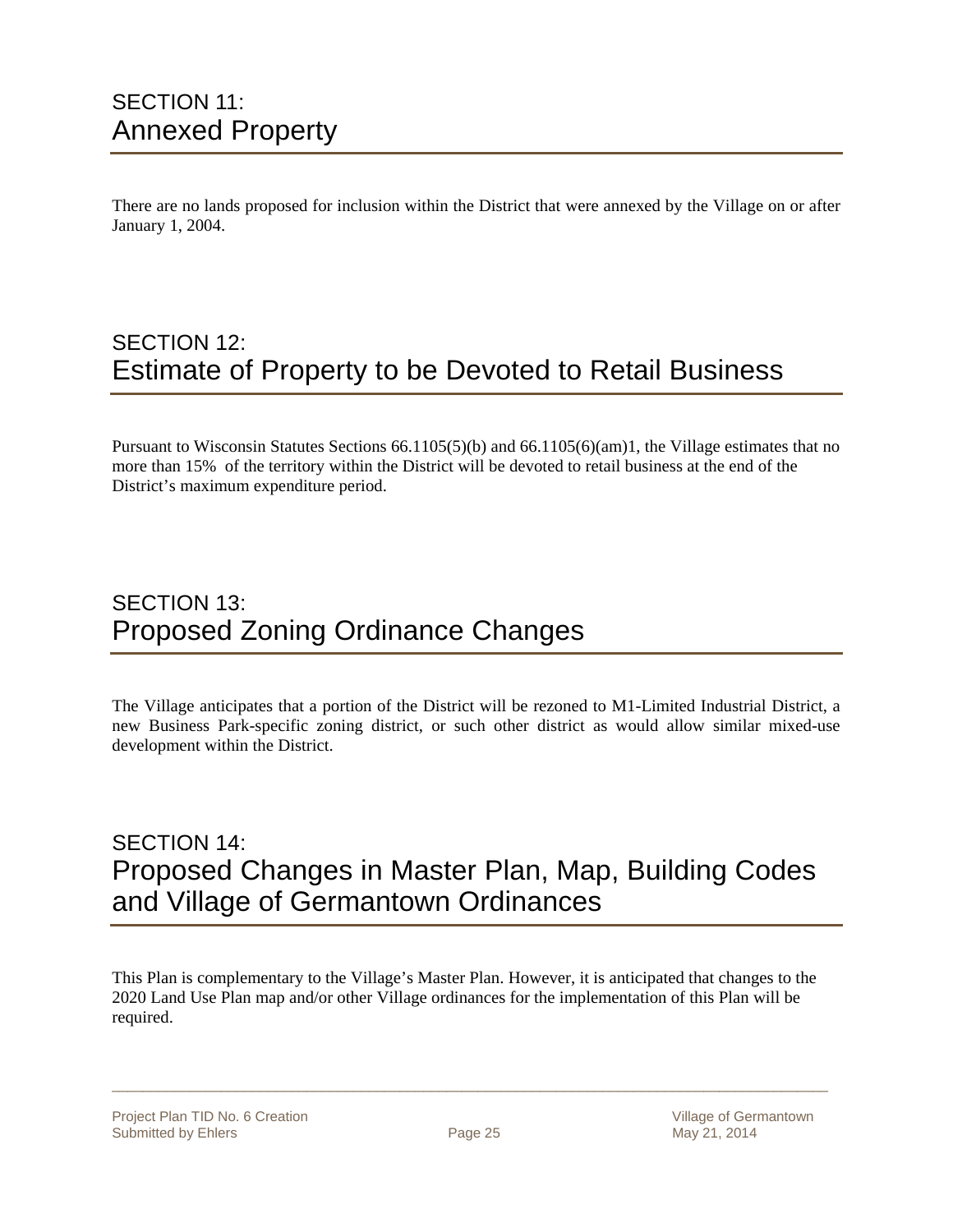### SECTION 11: Annexed Property

There are no lands proposed for inclusion within the District that were annexed by the Village on or after January 1, 2004.

### SECTION 12: Estimate of Property to be Devoted to Retail Business

Pursuant to Wisconsin Statutes Sections 66.1105(5)(b) and 66.1105(6)(am)1, the Village estimates that no more than 15% of the territory within the District will be devoted to retail business at the end of the District's maximum expenditure period.

### SECTION 13: Proposed Zoning Ordinance Changes

The Village anticipates that a portion of the District will be rezoned to M1-Limited Industrial District, a new Business Park-specific zoning district, or such other district as would allow similar mixed-use development within the District.

### SECTION 14: Proposed Changes in Master Plan, Map, Building Codes and Village of Germantown Ordinances

This Plan is complementary to the Village's Master Plan. However, it is anticipated that changes to the 2020 Land Use Plan map and/or other Village ordinances for the implementation of this Plan will be required.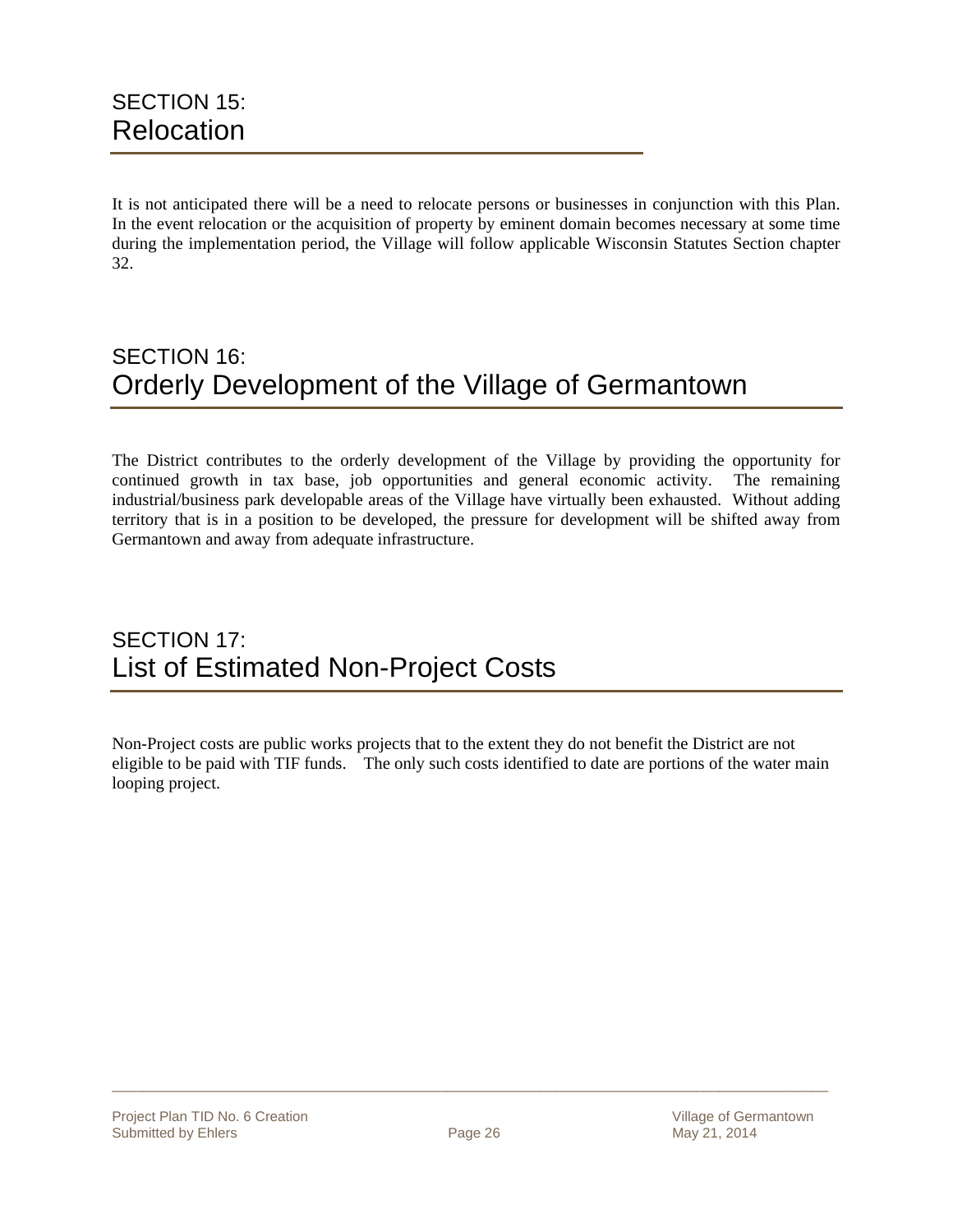It is not anticipated there will be a need to relocate persons or businesses in conjunction with this Plan. In the event relocation or the acquisition of property by eminent domain becomes necessary at some time during the implementation period, the Village will follow applicable Wisconsin Statutes Section chapter 32.

### SECTION 16: Orderly Development of the Village of Germantown

The District contributes to the orderly development of the Village by providing the opportunity for continued growth in tax base, job opportunities and general economic activity. The remaining industrial/business park developable areas of the Village have virtually been exhausted. Without adding territory that is in a position to be developed, the pressure for development will be shifted away from Germantown and away from adequate infrastructure.

### SECTION 17: List of Estimated Non-Project Costs

Non-Project costs are public works projects that to the extent they do not benefit the District are not eligible to be paid with TIF funds. The only such costs identified to date are portions of the water main looping project.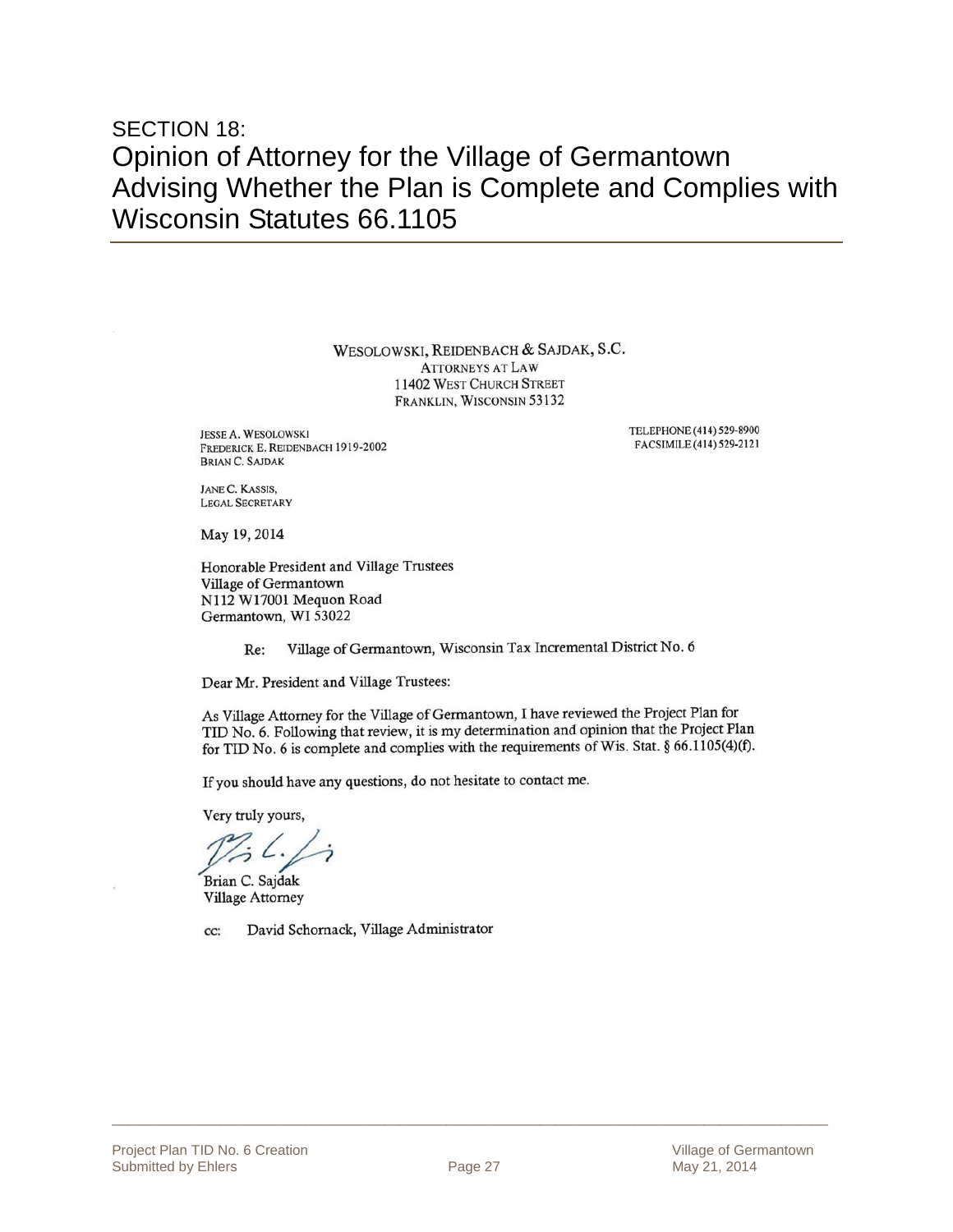### SECTION 18: Opinion of Attorney for the Village of Germantown Advising Whether the Plan is Complete and Complies with Wisconsin Statutes 66.1105

WESOLOWSKI, REIDENBACH & SAJDAK, S.C. **ATTORNEYS AT LAW** 11402 WEST CHURCH STREET FRANKLIN, WISCONSIN 53132

**JESSE A. WESOLOWSKI** FREDERICK E. REIDENBACH 1919-2002 **BRIAN C. SAJDAK** 

TELEPHONE (414) 529-8900 FACSIMILE (414) 529-2121

JANE C. KASSIS, **LEGAL SECRETARY** 

May 19, 2014

Honorable President and Village Trustees Village of Germantown N112 W17001 Mequon Road Germantown, WI 53022

> Village of Germantown, Wisconsin Tax Incremental District No. 6 Re:

Dear Mr. President and Village Trustees:

As Village Attorney for the Village of Germantown, I have reviewed the Project Plan for TID No. 6. Following that review, it is my determination and opinion that the Project Plan for TID No. 6 is complete and complies with the requirements of Wis. Stat. § 66.1105(4)(f).

If you should have any questions, do not hesitate to contact me.

Very truly yours,

Brian C. Sajdak **Village Attorney** 

David Schornack, Village Administrator CC: